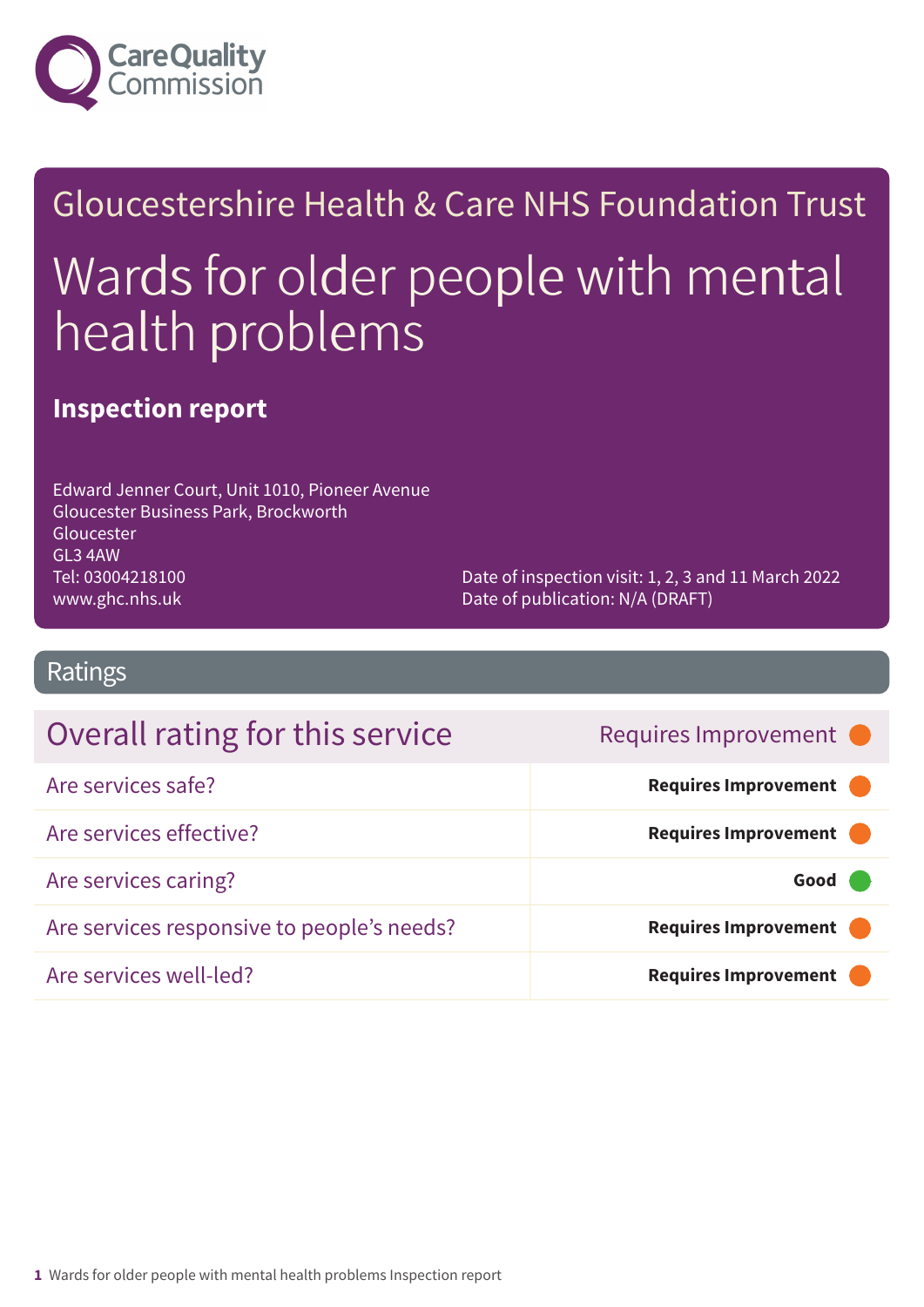

# Gloucestershire Health & Care NHS Foundation Trust Wards for older people with mental health problems

### **Inspection report**

Edward Jenner Court, Unit 1010, Pioneer Avenue Gloucester Business Park, Brockworth Gloucester GL3 4AW Tel: 03004218100 www.ghc.nhs.uk

Date of inspection visit: 1, 2, 3 and 11 March 2022 Date of publication: N/A (DRAFT)

**Requires Improvement** 

**Requires Improvement** 

### Ratings

| Overall rating for this service |  |
|---------------------------------|--|
| Are services safe?              |  |

Are services effective? **Example 2018 Requires Improvement** Are services caring? **Good –––** Are services responsive to people's needs? **Requires Improvement** 

Are services well-led? **Requires Improvement –––**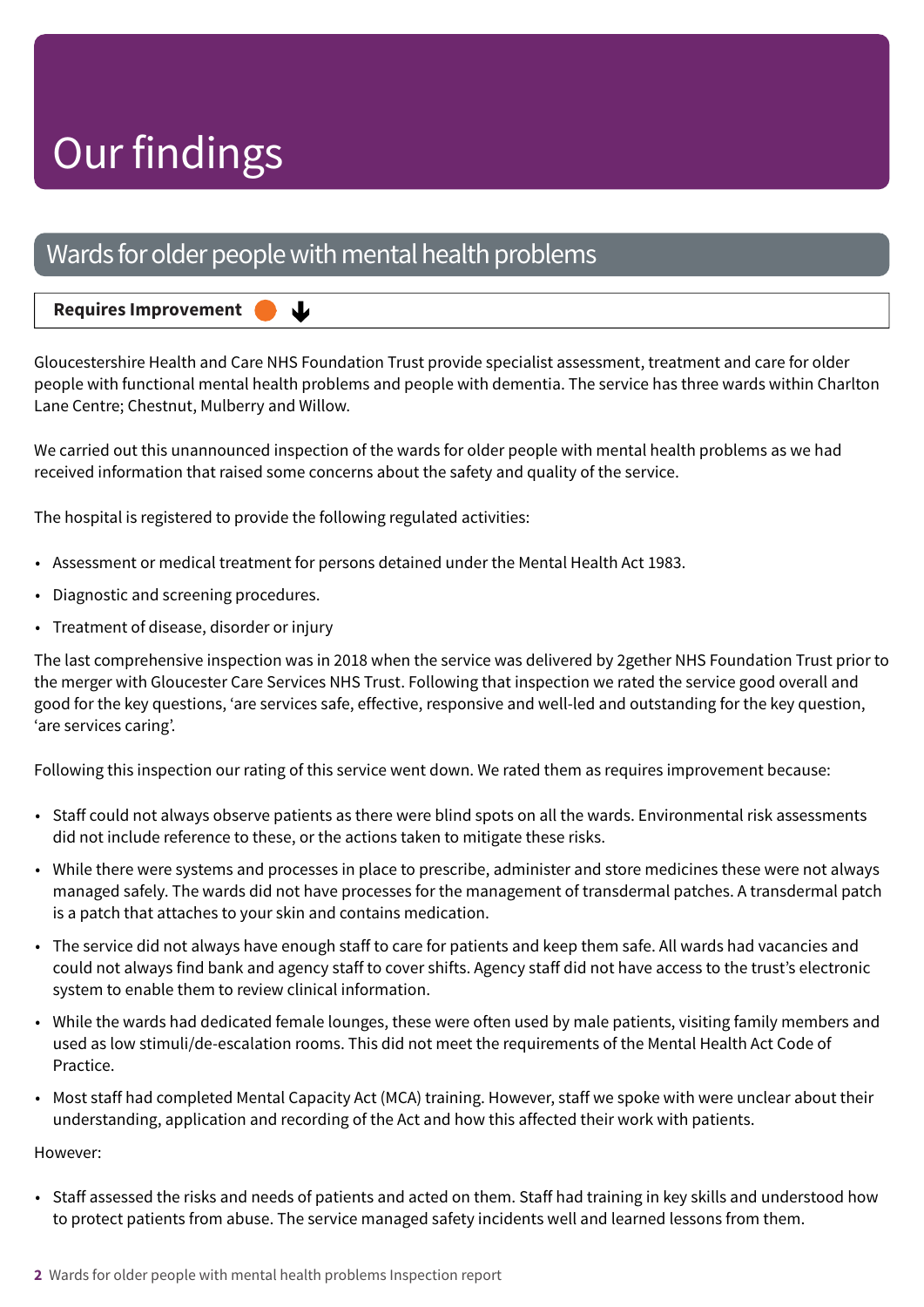### Wards for older people with mental health problems

↓

#### **Requires Improvement –––**

Gloucestershire Health and Care NHS Foundation Trust provide specialist assessment, treatment and care for older people with functional mental health problems and people with dementia. The service has three wards within Charlton Lane Centre; Chestnut, Mulberry and Willow.

We carried out this unannounced inspection of the wards for older people with mental health problems as we had received information that raised some concerns about the safety and quality of the service.

The hospital is registered to provide the following regulated activities:

- Assessment or medical treatment for persons detained under the Mental Health Act 1983.
- Diagnostic and screening procedures.
- Treatment of disease, disorder or injury

The last comprehensive inspection was in 2018 when the service was delivered by 2gether NHS Foundation Trust prior to the merger with Gloucester Care Services NHS Trust. Following that inspection we rated the service good overall and good for the key questions, 'are services safe, effective, responsive and well-led and outstanding for the key question, 'are services caring'.

Following this inspection our rating of this service went down. We rated them as requires improvement because:

- Staff could not always observe patients as there were blind spots on all the wards. Environmental risk assessments did not include reference to these, or the actions taken to mitigate these risks.
- While there were systems and processes in place to prescribe, administer and store medicines these were not always managed safely. The wards did not have processes for the management of transdermal patches. A transdermal patch is a patch that attaches to your skin and contains medication.
- The service did not always have enough staff to care for patients and keep them safe. All wards had vacancies and could not always find bank and agency staff to cover shifts. Agency staff did not have access to the trust's electronic system to enable them to review clinical information.
- While the wards had dedicated female lounges, these were often used by male patients, visiting family members and used as low stimuli/de-escalation rooms. This did not meet the requirements of the Mental Health Act Code of **Practice**
- Most staff had completed Mental Capacity Act (MCA) training. However, staff we spoke with were unclear about their understanding, application and recording of the Act and how this affected their work with patients.

#### However:

• Staff assessed the risks and needs of patients and acted on them. Staff had training in key skills and understood how to protect patients from abuse. The service managed safety incidents well and learned lessons from them.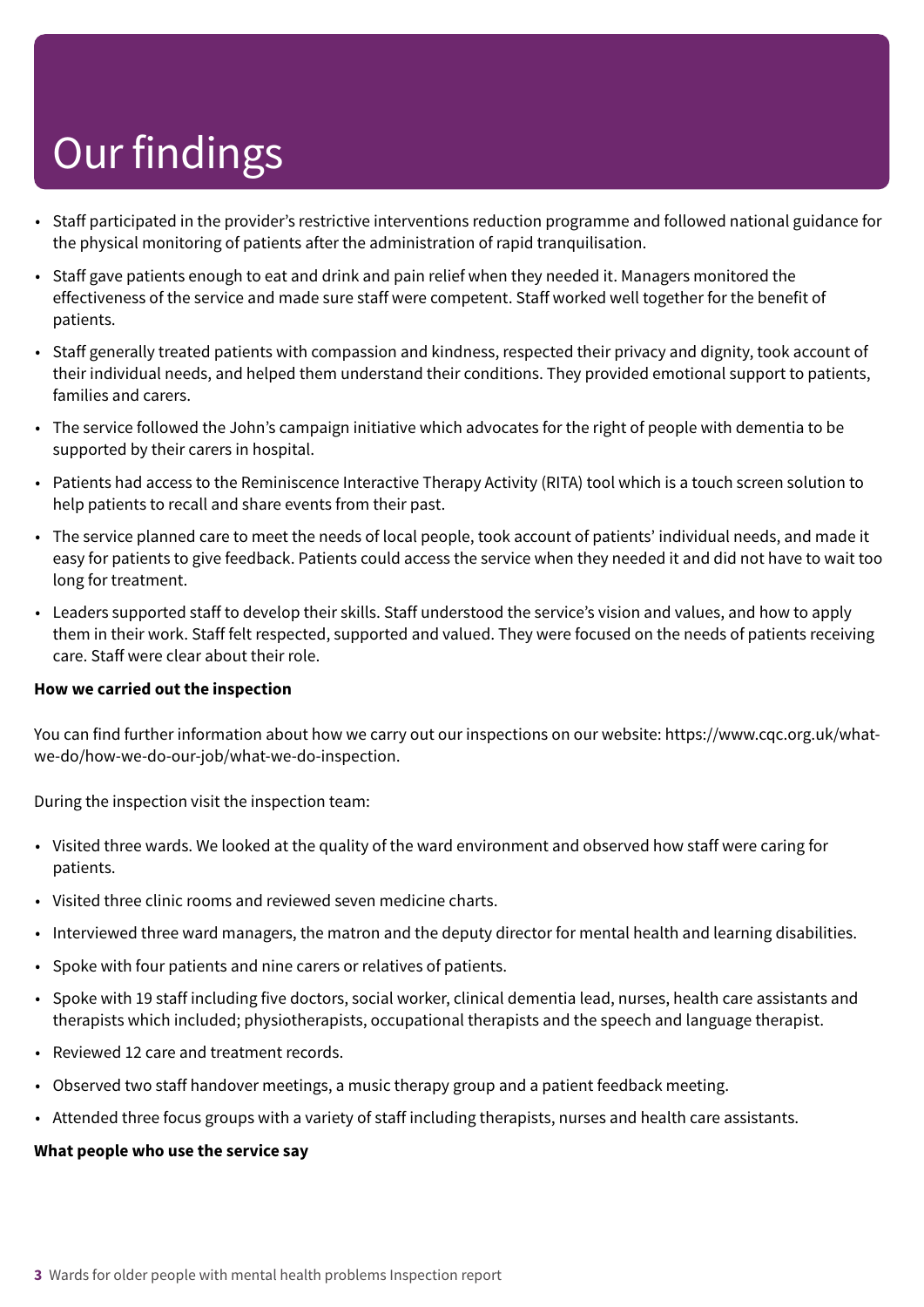- Staff participated in the provider's restrictive interventions reduction programme and followed national guidance for the physical monitoring of patients after the administration of rapid tranquilisation.
- Staff gave patients enough to eat and drink and pain relief when they needed it. Managers monitored the effectiveness of the service and made sure staff were competent. Staff worked well together for the benefit of patients.
- Staff generally treated patients with compassion and kindness, respected their privacy and dignity, took account of their individual needs, and helped them understand their conditions. They provided emotional support to patients, families and carers.
- The service followed the John's campaign initiative which advocates for the right of people with dementia to be supported by their carers in hospital.
- Patients had access to the Reminiscence Interactive Therapy Activity (RITA) tool which is a touch screen solution to help patients to recall and share events from their past.
- The service planned care to meet the needs of local people, took account of patients' individual needs, and made it easy for patients to give feedback. Patients could access the service when they needed it and did not have to wait too long for treatment.
- Leaders supported staff to develop their skills. Staff understood the service's vision and values, and how to apply them in their work. Staff felt respected, supported and valued. They were focused on the needs of patients receiving care. Staff were clear about their role.

#### **How we carried out the inspection**

You can find further information about how we carry out our inspections on our website: https://www.cqc.org.uk/whatwe-do/how-we-do-our-job/what-we-do-inspection.

During the inspection visit the inspection team:

- Visited three wards. We looked at the quality of the ward environment and observed how staff were caring for patients.
- Visited three clinic rooms and reviewed seven medicine charts.
- Interviewed three ward managers, the matron and the deputy director for mental health and learning disabilities.
- Spoke with four patients and nine carers or relatives of patients.
- Spoke with 19 staff including five doctors, social worker, clinical dementia lead, nurses, health care assistants and therapists which included; physiotherapists, occupational therapists and the speech and language therapist.
- Reviewed 12 care and treatment records.
- Observed two staff handover meetings, a music therapy group and a patient feedback meeting.
- Attended three focus groups with a variety of staff including therapists, nurses and health care assistants.

#### **What people who use the service say**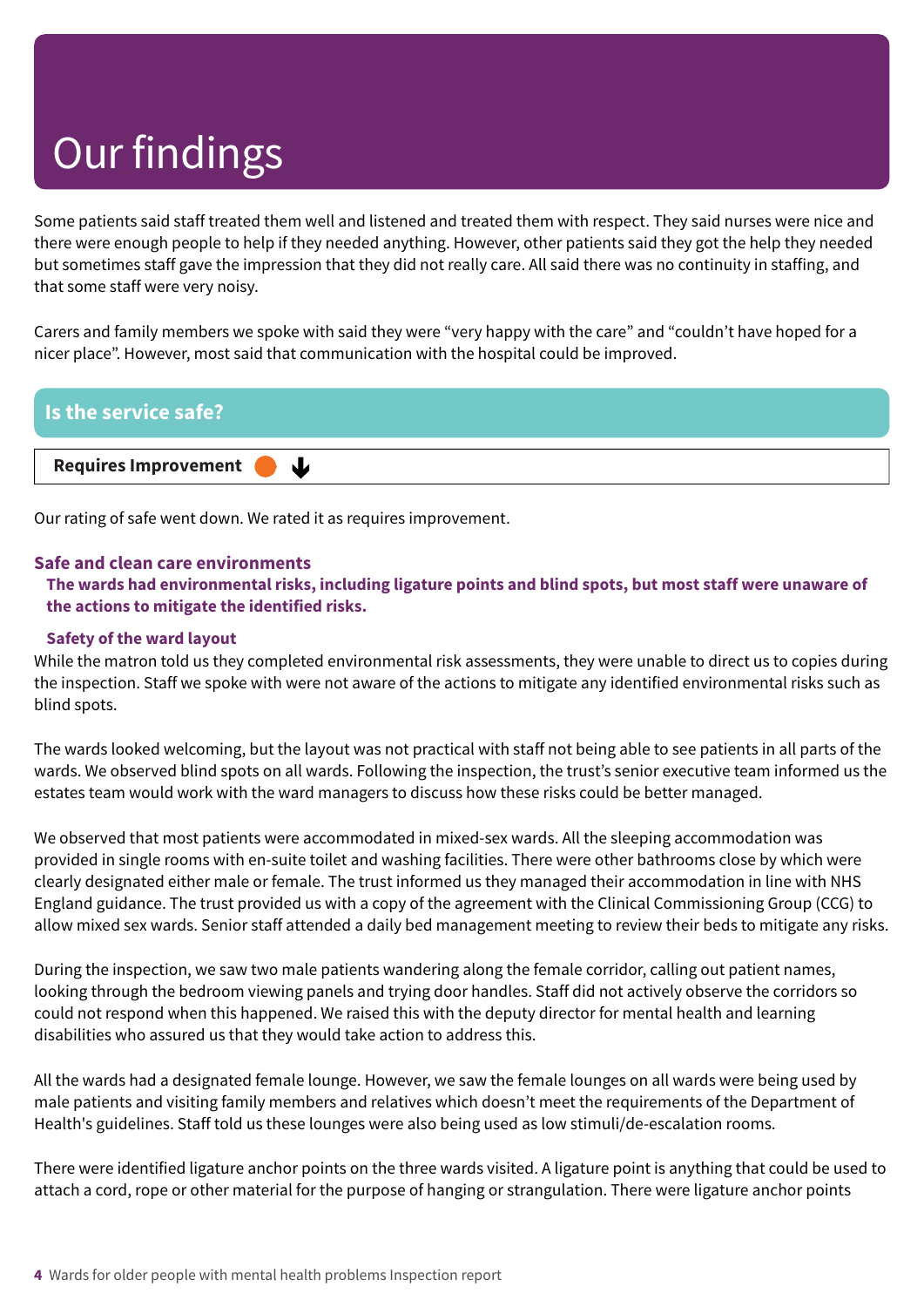Some patients said staff treated them well and listened and treated them with respect. They said nurses were nice and there were enough people to help if they needed anything. However, other patients said they got the help they needed but sometimes staff gave the impression that they did not really care. All said there was no continuity in staffing, and that some staff were very noisy.

Carers and family members we spoke with said they were "very happy with the care" and "couldn't have hoped for a nicer place". However, most said that communication with the hospital could be improved.



Our rating of safe went down. We rated it as requires improvement.

#### **Safe and clean care environments**

The wards had environmental risks, including ligature points and blind spots, but most staff were unaware of **the actions to mitigate the identified risks.**

#### **Safety of the ward layout**

While the matron told us they completed environmental risk assessments, they were unable to direct us to copies during the inspection. Staff we spoke with were not aware of the actions to mitigate any identified environmental risks such as blind spots.

The wards looked welcoming, but the layout was not practical with staff not being able to see patients in all parts of the wards. We observed blind spots on all wards. Following the inspection, the trust's senior executive team informed us the estates team would work with the ward managers to discuss how these risks could be better managed.

We observed that most patients were accommodated in mixed-sex wards. All the sleeping accommodation was provided in single rooms with en-suite toilet and washing facilities. There were other bathrooms close by which were clearly designated either male or female. The trust informed us they managed their accommodation in line with NHS England guidance. The trust provided us with a copy of the agreement with the Clinical Commissioning Group (CCG) to allow mixed sex wards. Senior staff attended a daily bed management meeting to review their beds to mitigate any risks.

During the inspection, we saw two male patients wandering along the female corridor, calling out patient names, looking through the bedroom viewing panels and trying door handles. Staff did not actively observe the corridors so could not respond when this happened. We raised this with the deputy director for mental health and learning disabilities who assured us that they would take action to address this.

All the wards had a designated female lounge. However, we saw the female lounges on all wards were being used by male patients and visiting family members and relatives which doesn't meet the requirements of the Department of Health's guidelines. Staff told us these lounges were also being used as low stimuli/de-escalation rooms.

There were identified ligature anchor points on the three wards visited. A ligature point is anything that could be used to attach a cord, rope or other material for the purpose of hanging or strangulation. There were ligature anchor points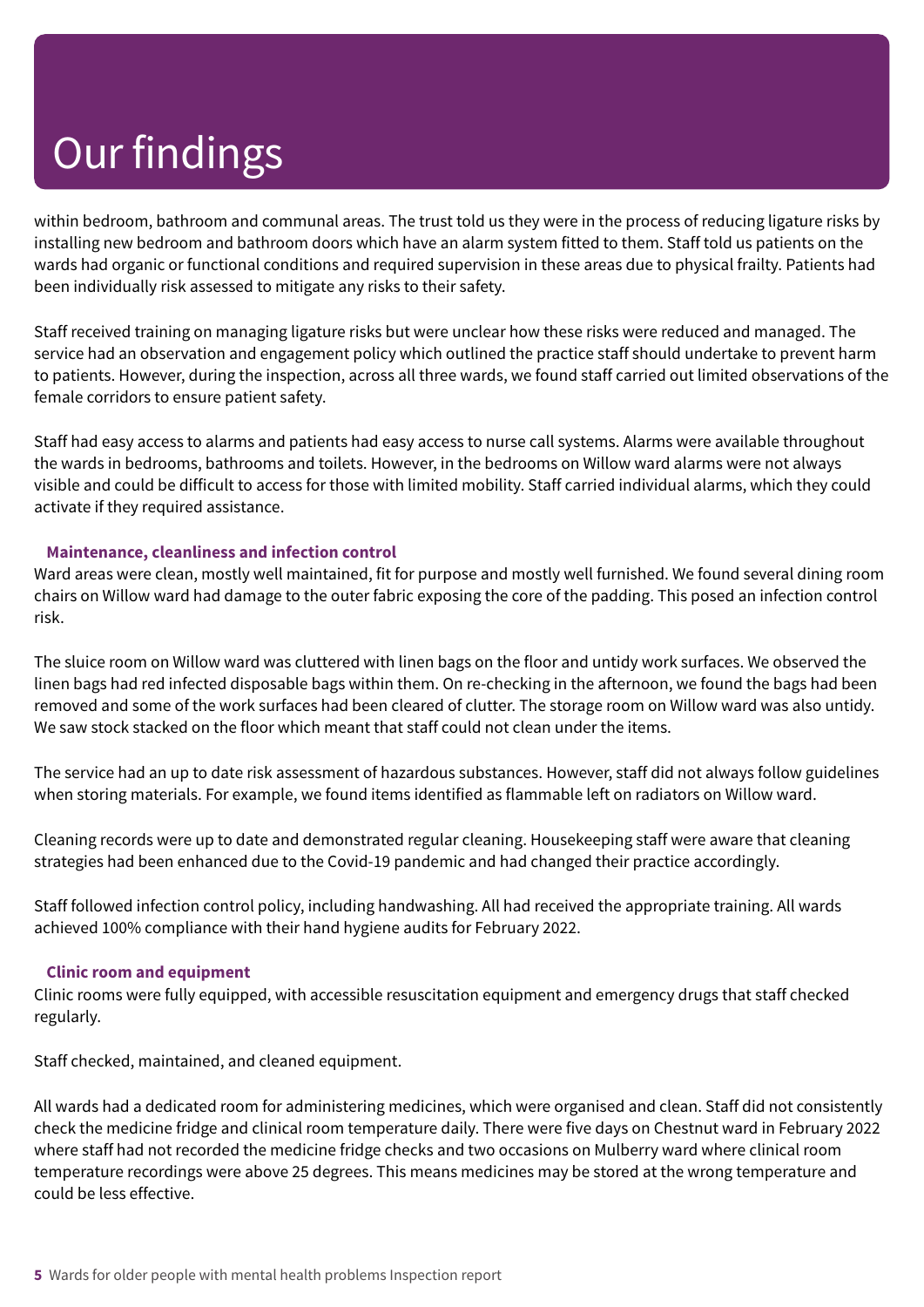within bedroom, bathroom and communal areas. The trust told us they were in the process of reducing ligature risks by installing new bedroom and bathroom doors which have an alarm system fitted to them. Staff told us patients on the wards had organic or functional conditions and required supervision in these areas due to physical frailty. Patients had been individually risk assessed to mitigate any risks to their safety.

Staff received training on managing ligature risks but were unclear how these risks were reduced and managed. The service had an observation and engagement policy which outlined the practice staff should undertake to prevent harm to patients. However, during the inspection, across all three wards, we found staff carried out limited observations of the female corridors to ensure patient safety.

Staff had easy access to alarms and patients had easy access to nurse call systems. Alarms were available throughout the wards in bedrooms, bathrooms and toilets. However, in the bedrooms on Willow ward alarms were not always visible and could be difficult to access for those with limited mobility. Staff carried individual alarms, which they could activate if they required assistance.

#### **Maintenance, cleanliness and infection control**

Ward areas were clean, mostly well maintained, fit for purpose and mostly well furnished. We found several dining room chairs on Willow ward had damage to the outer fabric exposing the core of the padding. This posed an infection control risk.

The sluice room on Willow ward was cluttered with linen bags on the floor and untidy work surfaces. We observed the linen bags had red infected disposable bags within them. On re-checking in the afternoon, we found the bags had been removed and some of the work surfaces had been cleared of clutter. The storage room on Willow ward was also untidy. We saw stock stacked on the floor which meant that staff could not clean under the items.

The service had an up to date risk assessment of hazardous substances. However, staff did not always follow guidelines when storing materials. For example, we found items identified as flammable left on radiators on Willow ward.

Cleaning records were up to date and demonstrated regular cleaning. Housekeeping staff were aware that cleaning strategies had been enhanced due to the Covid-19 pandemic and had changed their practice accordingly.

Staff followed infection control policy, including handwashing. All had received the appropriate training. All wards achieved 100% compliance with their hand hygiene audits for February 2022.

#### **Clinic room and equipment**

Clinic rooms were fully equipped, with accessible resuscitation equipment and emergency drugs that staff checked regularly.

Staff checked, maintained, and cleaned equipment.

All wards had a dedicated room for administering medicines, which were organised and clean. Staff did not consistently check the medicine fridge and clinical room temperature daily. There were five days on Chestnut ward in February 2022 where staff had not recorded the medicine fridge checks and two occasions on Mulberry ward where clinical room temperature recordings were above 25 degrees. This means medicines may be stored at the wrong temperature and could be less effective.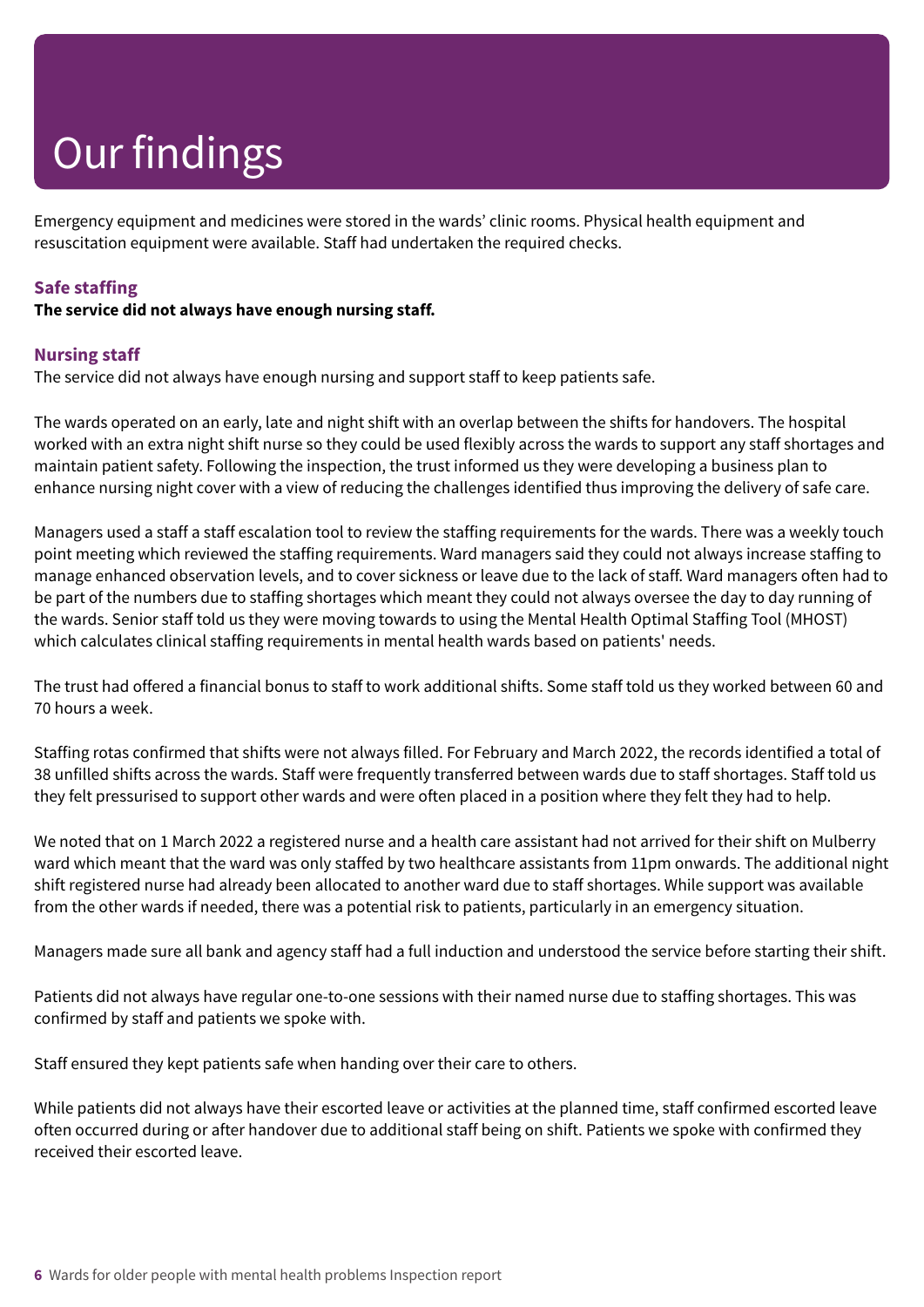Emergency equipment and medicines were stored in the wards' clinic rooms. Physical health equipment and resuscitation equipment were available. Staff had undertaken the required checks.

#### **Safe staffing**

#### **The service did not always have enough nursing staff.**

#### **Nursing staff**

The service did not always have enough nursing and support staff to keep patients safe.

The wards operated on an early, late and night shift with an overlap between the shifts for handovers. The hospital worked with an extra night shift nurse so they could be used flexibly across the wards to support any staff shortages and maintain patient safety. Following the inspection, the trust informed us they were developing a business plan to enhance nursing night cover with a view of reducing the challenges identified thus improving the delivery of safe care.

Managers used a staff a staff escalation tool to review the staffing requirements for the wards. There was a weekly touch point meeting which reviewed the staffing requirements. Ward managers said they could not always increase staffing to manage enhanced observation levels, and to cover sickness or leave due to the lack of staff. Ward managers often had to be part of the numbers due to staffing shortages which meant they could not always oversee the day to day running of the wards. Senior staff told us they were moving towards to using the Mental Health Optimal Staffing Tool (MHOST) which calculates clinical staffing requirements in mental health wards based on patients' needs.

The trust had offered a financial bonus to staff to work additional shifts. Some staff told us they worked between 60 and 70 hours a week.

Staffing rotas confirmed that shifts were not always filled. For February and March 2022, the records identified a total of 38 unfilled shifts across the wards. Staff were frequently transferred between wards due to staff shortages. Staff told us they felt pressurised to support other wards and were often placed in a position where they felt they had to help.

We noted that on 1 March 2022 a registered nurse and a health care assistant had not arrived for their shift on Mulberry ward which meant that the ward was only staffed by two healthcare assistants from 11pm onwards. The additional night shift registered nurse had already been allocated to another ward due to staff shortages. While support was available from the other wards if needed, there was a potential risk to patients, particularly in an emergency situation.

Managers made sure all bank and agency staff had a full induction and understood the service before starting their shift.

Patients did not always have regular one-to-one sessions with their named nurse due to staffing shortages. This was confirmed by staff and patients we spoke with.

Staff ensured they kept patients safe when handing over their care to others.

While patients did not always have their escorted leave or activities at the planned time, staff confirmed escorted leave often occurred during or after handover due to additional staff being on shift. Patients we spoke with confirmed they received their escorted leave.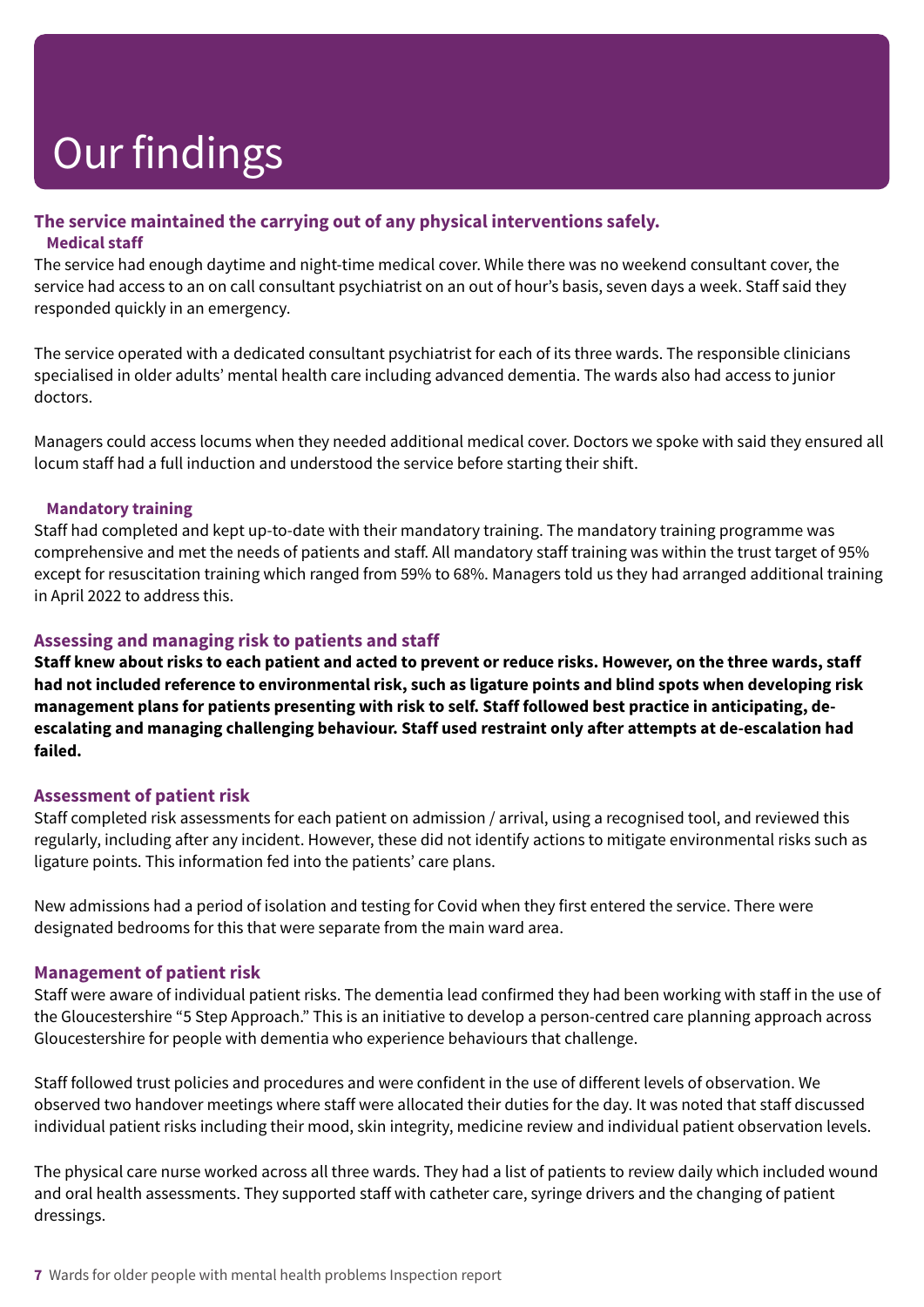#### **The service maintained the carrying out of any physical interventions safely. Medical staff**

The service had enough daytime and night-time medical cover. While there was no weekend consultant cover, the service had access to an on call consultant psychiatrist on an out of hour's basis, seven days a week. Staff said they responded quickly in an emergency.

The service operated with a dedicated consultant psychiatrist for each of its three wards. The responsible clinicians specialised in older adults' mental health care including advanced dementia. The wards also had access to junior doctors.

Managers could access locums when they needed additional medical cover. Doctors we spoke with said they ensured all locum staff had a full induction and understood the service before starting their shift.

#### **Mandatory training**

Staff had completed and kept up-to-date with their mandatory training. The mandatory training programme was comprehensive and met the needs of patients and staff. All mandatory staff training was within the trust target of 95% except for resuscitation training which ranged from 59% to 68%. Managers told us they had arranged additional training in April 2022 to address this.

#### **Assessing and managing risk to patients and staff**

Staff knew about risks to each patient and acted to prevent or reduce risks. However, on the three wards, staff had not included reference to environmental risk, such as ligature points and blind spots when developing risk **management plans for patients presenting with risk to self. Staff followed best practice in anticipating, deescalating and managing challenging behaviour. Staff used restraint only after attempts at de-escalation had failed.**

#### **Assessment of patient risk**

Staff completed risk assessments for each patient on admission / arrival, using a recognised tool, and reviewed this regularly, including after any incident. However, these did not identify actions to mitigate environmental risks such as ligature points. This information fed into the patients' care plans.

New admissions had a period of isolation and testing for Covid when they first entered the service. There were designated bedrooms for this that were separate from the main ward area.

#### **Management of patient risk**

Staff were aware of individual patient risks. The dementia lead confirmed they had been working with staff in the use of the Gloucestershire "5 Step Approach." This is an initiative to develop a person-centred care planning approach across Gloucestershire for people with dementia who experience behaviours that challenge.

Staff followed trust policies and procedures and were confident in the use of different levels of observation. We observed two handover meetings where staff were allocated their duties for the day. It was noted that staff discussed individual patient risks including their mood, skin integrity, medicine review and individual patient observation levels.

The physical care nurse worked across all three wards. They had a list of patients to review daily which included wound and oral health assessments. They supported staff with catheter care, syringe drivers and the changing of patient dressings.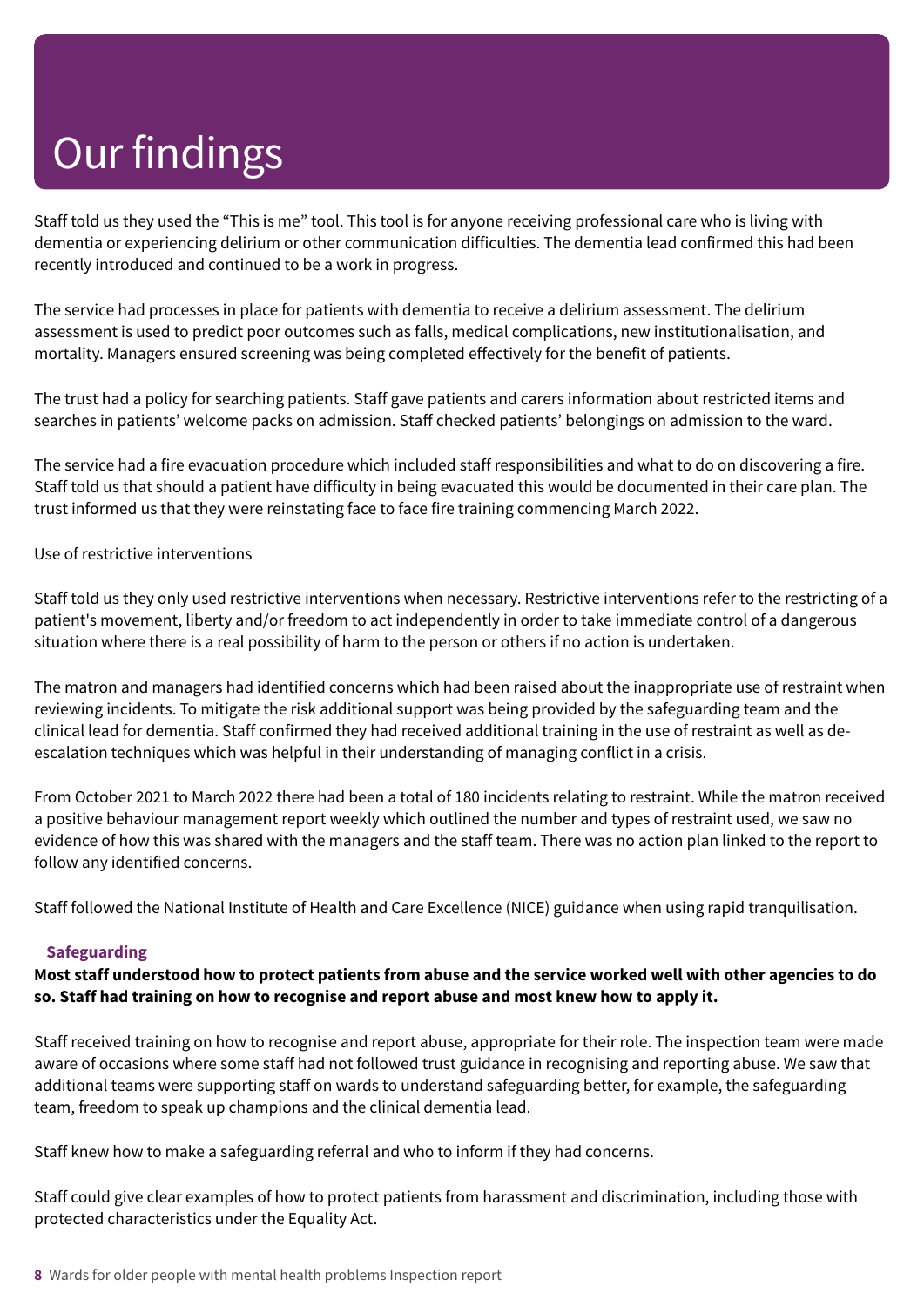Staff told us they used the "This is me" tool. This tool is for anyone receiving professional care who is living with dementia or experiencing delirium or other communication difficulties. The dementia lead confirmed this had been recently introduced and continued to be a work in progress.

The service had processes in place for patients with dementia to receive a delirium assessment. The delirium assessment is used to predict poor outcomes such as falls, medical complications, new institutionalisation, and mortality. Managers ensured screening was being completed effectively for the benefit of patients.

The trust had a policy for searching patients. Staff gave patients and carers information about restricted items and searches in patients' welcome packs on admission. Staff checked patients' belongings on admission to the ward.

The service had a fire evacuation procedure which included staff responsibilities and what to do on discovering a fire. Staff told us that should a patient have difficulty in being evacuated this would be documented in their care plan. The trust informed us that they were reinstating face to face fire training commencing March 2022.

Use of restrictive interventions

Staff told us they only used restrictive interventions when necessary. Restrictive interventions refer to the restricting of a patient's movement, liberty and/or freedom to act independently in order to take immediate control of a dangerous situation where there is a real possibility of harm to the person or others if no action is undertaken.

The matron and managers had identified concerns which had been raised about the inappropriate use of restraint when reviewing incidents. To mitigate the risk additional support was being provided by the safeguarding team and the clinical lead for dementia. Staff confirmed they had received additional training in the use of restraint as well as deescalation techniques which was helpful in their understanding of managing conflict in a crisis.

From October 2021 to March 2022 there had been a total of 180 incidents relating to restraint. While the matron received a positive behaviour management report weekly which outlined the number and types of restraint used, we saw no evidence of how this was shared with the managers and the staff team. There was no action plan linked to the report to follow any identified concerns.

Staff followed the National Institute of Health and Care Excellence (NICE) guidance when using rapid tranquilisation.

#### **Safeguarding**

Most staff understood how to protect patients from abuse and the service worked well with other agencies to do **so. Staff had training on how to recognise and report abuse and most knew how to apply it.**

Staff received training on how to recognise and report abuse, appropriate for their role. The inspection team were made aware of occasions where some staff had not followed trust guidance in recognising and reporting abuse. We saw that additional teams were supporting staff on wards to understand safeguarding better, for example, the safeguarding team, freedom to speak up champions and the clinical dementia lead.

Staff knew how to make a safeguarding referral and who to inform if they had concerns.

Staff could give clear examples of how to protect patients from harassment and discrimination, including those with protected characteristics under the Equality Act.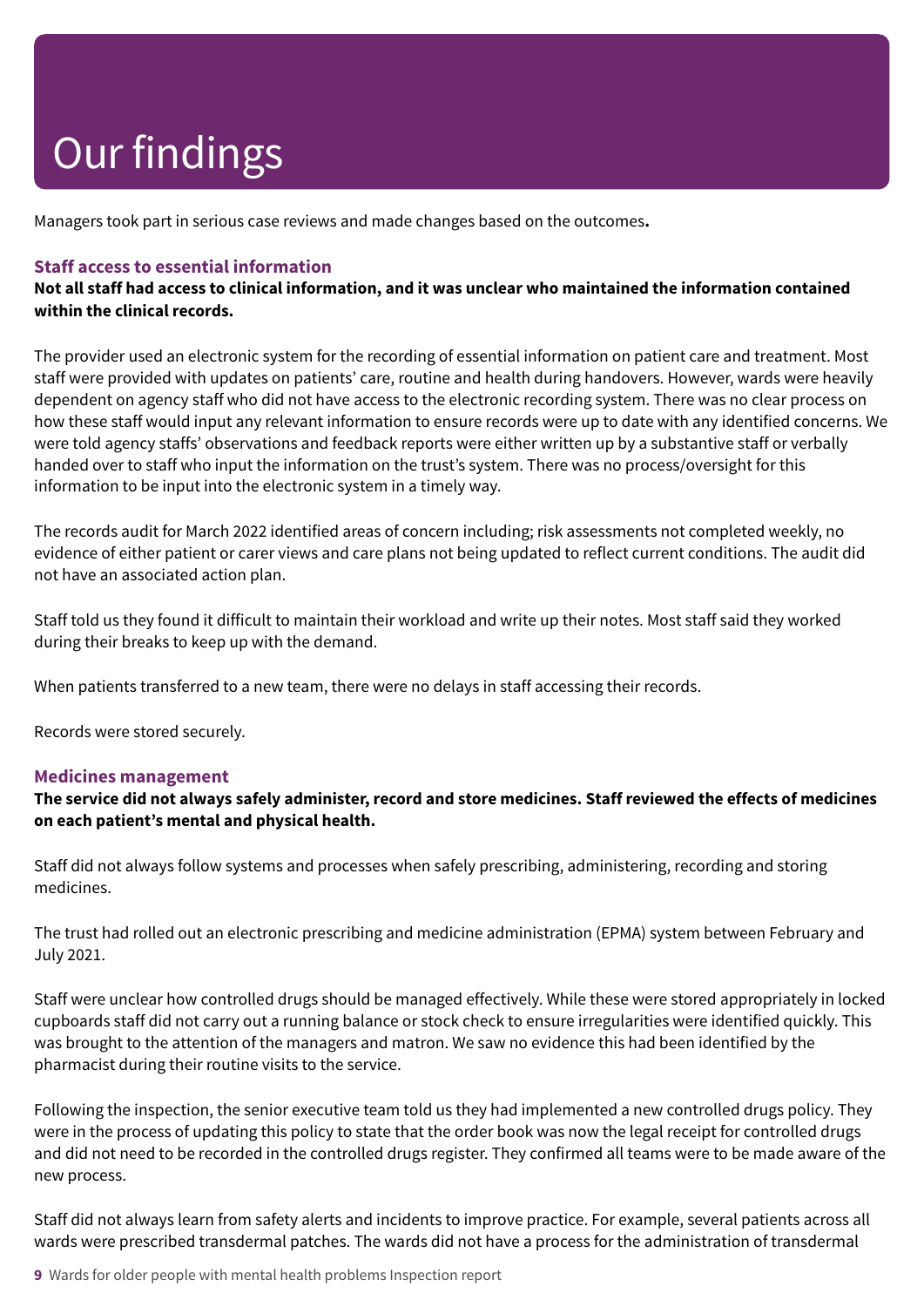Managers took part in serious case reviews and made changes based on the outcomes**.**

#### **Staff access to essential information**

Not all staff had access to clinical information, and it was unclear who maintained the information contained **within the clinical records.**

The provider used an electronic system for the recording of essential information on patient care and treatment. Most staff were provided with updates on patients' care, routine and health during handovers. However, wards were heavily dependent on agency staff who did not have access to the electronic recording system. There was no clear process on how these staff would input any relevant information to ensure records were up to date with any identified concerns. We were told agency staffs' observations and feedback reports were either written up by a substantive staff or verbally handed over to staff who input the information on the trust's system. There was no process/oversight for this information to be input into the electronic system in a timely way.

The records audit for March 2022 identified areas of concern including; risk assessments not completed weekly, no evidence of either patient or carer views and care plans not being updated to reflect current conditions. The audit did not have an associated action plan.

Staff told us they found it difficult to maintain their workload and write up their notes. Most staff said they worked during their breaks to keep up with the demand.

When patients transferred to a new team, there were no delays in staff accessing their records.

Records were stored securely.

#### **Medicines management**

The service did not always safely administer, record and store medicines. Staff reviewed the effects of medicines **on each patient's mental and physical health.**

Staff did not always follow systems and processes when safely prescribing, administering, recording and storing medicines.

The trust had rolled out an electronic prescribing and medicine administration (EPMA) system between February and July 2021.

Staff were unclear how controlled drugs should be managed effectively. While these were stored appropriately in locked cupboards staff did not carry out a running balance or stock check to ensure irregularities were identified quickly. This was brought to the attention of the managers and matron. We saw no evidence this had been identified by the pharmacist during their routine visits to the service.

Following the inspection, the senior executive team told us they had implemented a new controlled drugs policy. They were in the process of updating this policy to state that the order book was now the legal receipt for controlled drugs and did not need to be recorded in the controlled drugs register. They confirmed all teams were to be made aware of the new process.

Staff did not always learn from safety alerts and incidents to improve practice. For example, several patients across all wards were prescribed transdermal patches. The wards did not have a process for the administration of transdermal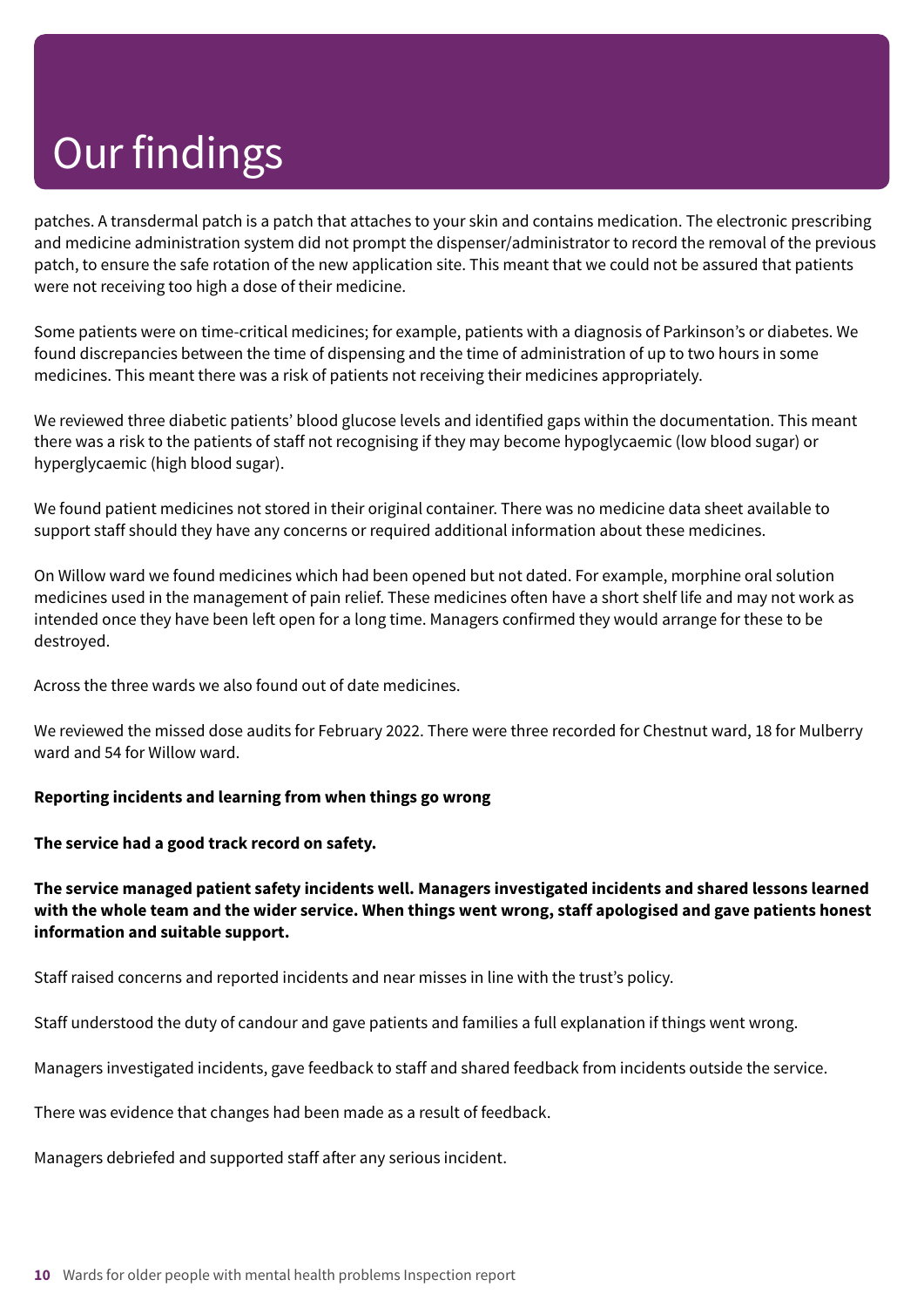patches. A transdermal patch is a patch that attaches to your skin and contains medication. The electronic prescribing and medicine administration system did not prompt the dispenser/administrator to record the removal of the previous patch, to ensure the safe rotation of the new application site. This meant that we could not be assured that patients were not receiving too high a dose of their medicine.

Some patients were on time-critical medicines; for example, patients with a diagnosis of Parkinson's or diabetes. We found discrepancies between the time of dispensing and the time of administration of up to two hours in some medicines. This meant there was a risk of patients not receiving their medicines appropriately.

We reviewed three diabetic patients' blood glucose levels and identified gaps within the documentation. This meant there was a risk to the patients of staff not recognising if they may become hypoglycaemic (low blood sugar) or hyperglycaemic (high blood sugar).

We found patient medicines not stored in their original container. There was no medicine data sheet available to support staff should they have any concerns or required additional information about these medicines.

On Willow ward we found medicines which had been opened but not dated. For example, morphine oral solution medicines used in the management of pain relief. These medicines often have a short shelf life and may not work as intended once they have been left open for a long time. Managers confirmed they would arrange for these to be destroyed.

Across the three wards we also found out of date medicines.

We reviewed the missed dose audits for February 2022. There were three recorded for Chestnut ward, 18 for Mulberry ward and 54 for Willow ward.

#### **Reporting incidents and learning from when things go wrong**

**The service had a good track record on safety.**

#### **The service managed patient safety incidents well. Managers investigated incidents and shared lessons learned** with the whole team and the wider service. When things went wrong, staff apologised and gave patients honest **information and suitable support.**

Staff raised concerns and reported incidents and near misses in line with the trust's policy.

Staff understood the duty of candour and gave patients and families a full explanation if things went wrong.

Managers investigated incidents, gave feedback to staff and shared feedback from incidents outside the service.

There was evidence that changes had been made as a result of feedback.

Managers debriefed and supported staff after any serious incident.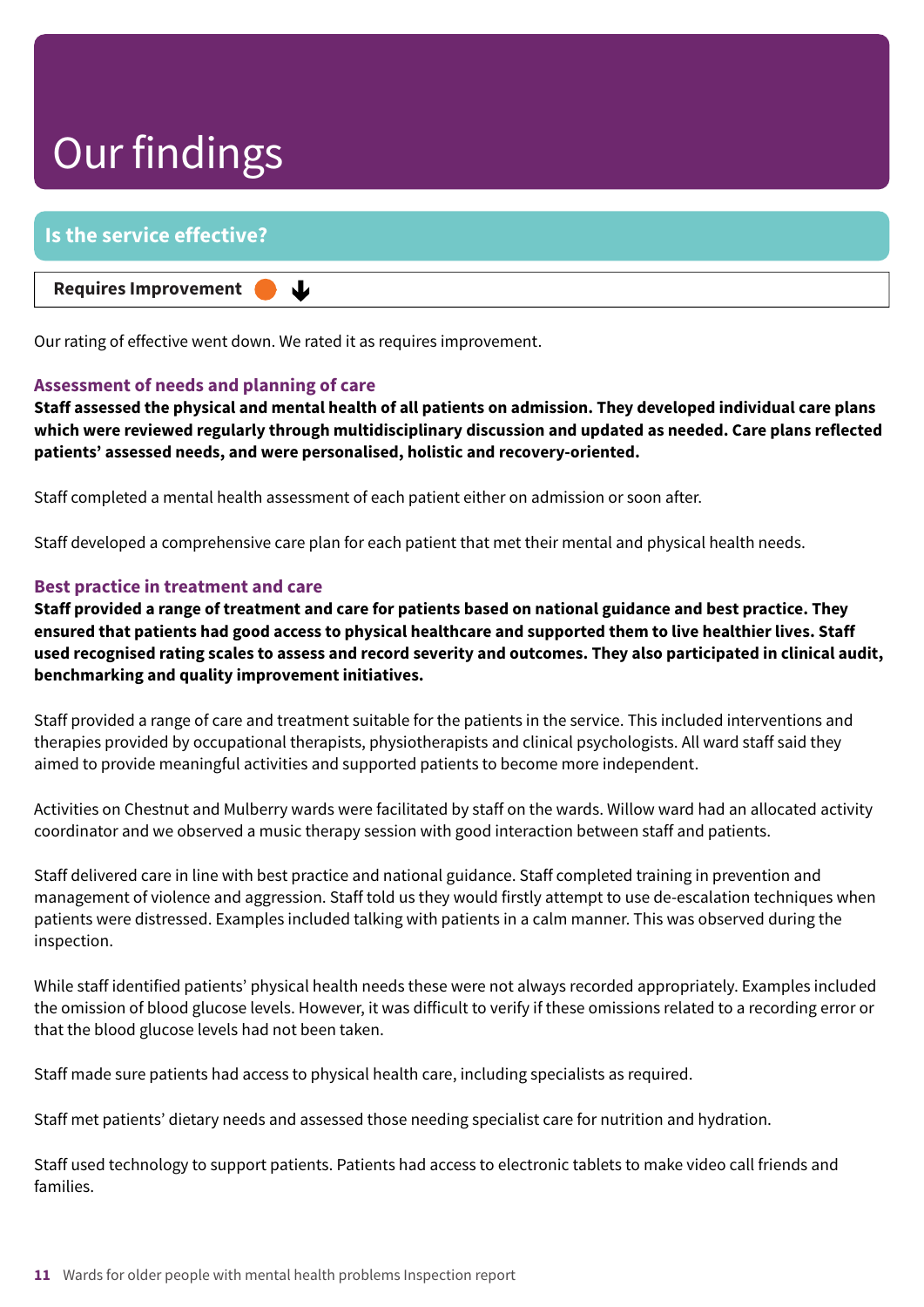| I Is the service effective?                       |  |
|---------------------------------------------------|--|
| Requires Improvement $\bullet\blacktriangleright$ |  |

Our rating of effective went down. We rated it as requires improvement.

#### **Assessment of needs and planning of care**

Staff assessed the physical and mental health of all patients on admission. They developed individual care plans **which were reviewed regularly through multidisciplinary discussion and updated as needed. Care plans reflected patients' assessed needs, and were personalised, holistic and recovery-oriented.**

Staff completed a mental health assessment of each patient either on admission or soon after.

Staff developed a comprehensive care plan for each patient that met their mental and physical health needs.

#### **Best practice in treatment and care**

Staff provided a range of treatment and care for patients based on national guidance and best practice. They ensured that patients had good access to physical healthcare and supported them to live healthier lives. Staff used recognised rating scales to assess and record severity and outcomes. They also participated in clinical audit, **benchmarking and quality improvement initiatives.**

Staff provided a range of care and treatment suitable for the patients in the service. This included interventions and therapies provided by occupational therapists, physiotherapists and clinical psychologists. All ward staff said they aimed to provide meaningful activities and supported patients to become more independent.

Activities on Chestnut and Mulberry wards were facilitated by staff on the wards. Willow ward had an allocated activity coordinator and we observed a music therapy session with good interaction between staff and patients.

Staff delivered care in line with best practice and national guidance. Staff completed training in prevention and management of violence and aggression. Staff told us they would firstly attempt to use de-escalation techniques when patients were distressed. Examples included talking with patients in a calm manner. This was observed during the inspection.

While staff identified patients' physical health needs these were not always recorded appropriately. Examples included the omission of blood glucose levels. However, it was difficult to verify if these omissions related to a recording error or that the blood glucose levels had not been taken.

Staff made sure patients had access to physical health care, including specialists as required.

Staff met patients' dietary needs and assessed those needing specialist care for nutrition and hydration.

Staff used technology to support patients. Patients had access to electronic tablets to make video call friends and families.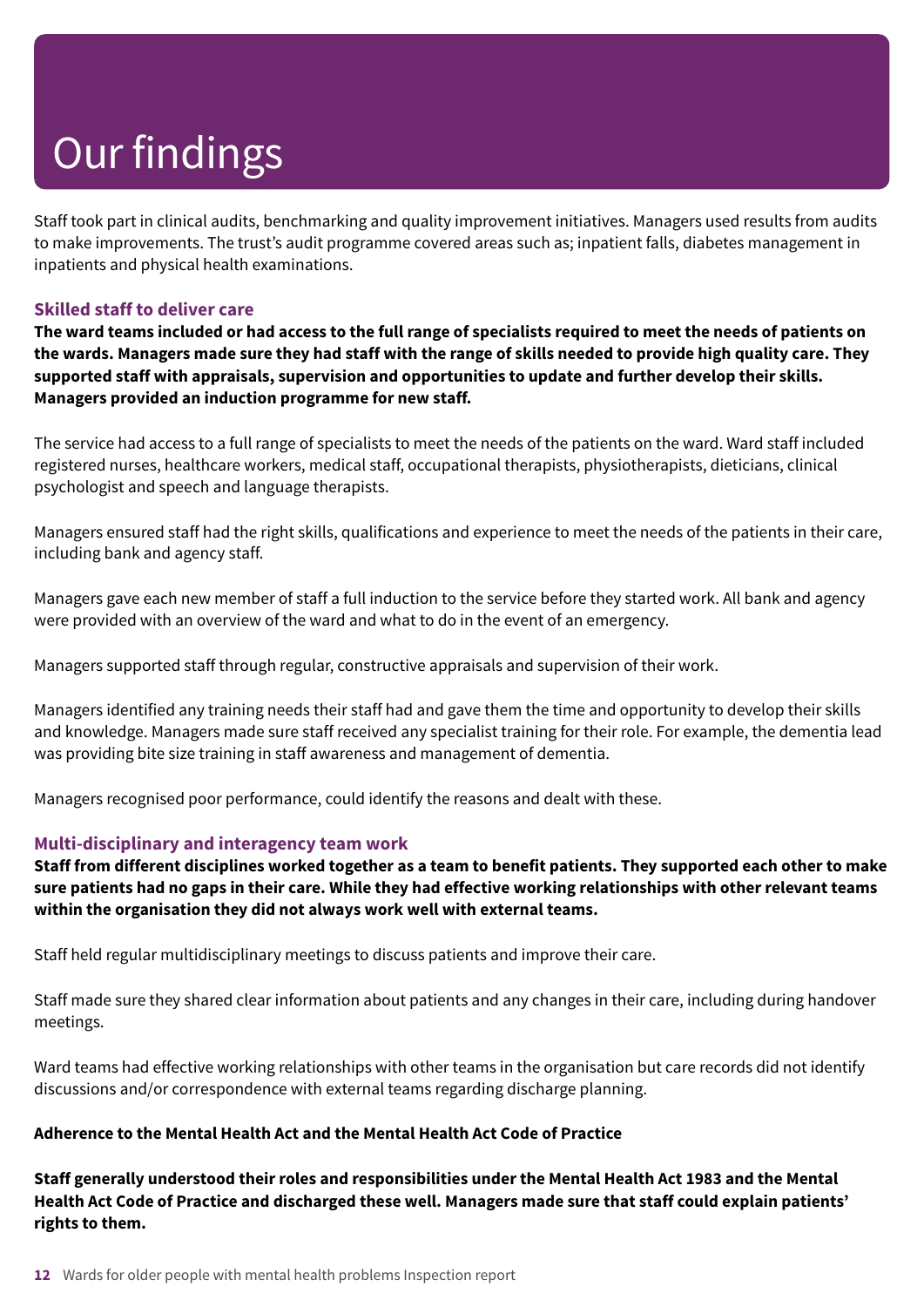Staff took part in clinical audits, benchmarking and quality improvement initiatives. Managers used results from audits to make improvements. The trust's audit programme covered areas such as; inpatient falls, diabetes management in inpatients and physical health examinations.

#### **Skilled staff to deliver care**

The ward teams included or had access to the full range of specialists required to meet the needs of patients on the wards. Managers made sure they had staff with the range of skills needed to provide high quality care. They **supported staff with appraisals, supervision and opportunities to update and further develop their skills. Managers provided an induction programme for new staff.**

The service had access to a full range of specialists to meet the needs of the patients on the ward. Ward staff included registered nurses, healthcare workers, medical staff, occupational therapists, physiotherapists, dieticians, clinical psychologist and speech and language therapists.

Managers ensured staff had the right skills, qualifications and experience to meet the needs of the patients in their care, including bank and agency staff.

Managers gave each new member of staff a full induction to the service before they started work. All bank and agency were provided with an overview of the ward and what to do in the event of an emergency.

Managers supported staff through regular, constructive appraisals and supervision of their work.

Managers identified any training needs their staff had and gave them the time and opportunity to develop their skills and knowledge. Managers made sure staff received any specialist training for their role. For example, the dementia lead was providing bite size training in staff awareness and management of dementia.

Managers recognised poor performance, could identify the reasons and dealt with these.

#### **Multi-disciplinary and interagency team work**

Staff from different disciplines worked together as a team to benefit patients. They supported each other to make sure patients had no gaps in their care. While they had effective working relationships with other relevant teams **within the organisation they did not always work well with external teams.**

Staff held regular multidisciplinary meetings to discuss patients and improve their care.

Staff made sure they shared clear information about patients and any changes in their care, including during handover meetings.

Ward teams had effective working relationships with other teams in the organisation but care records did not identify discussions and/or correspondence with external teams regarding discharge planning.

#### **Adherence to the Mental Health Act and the Mental Health Act Code of Practice**

**Staff generally understood their roles and responsibilities under the Mental Health Act 1983 and the Mental** Health Act Code of Practice and discharged these well. Managers made sure that staff could explain patients' **rights to them.**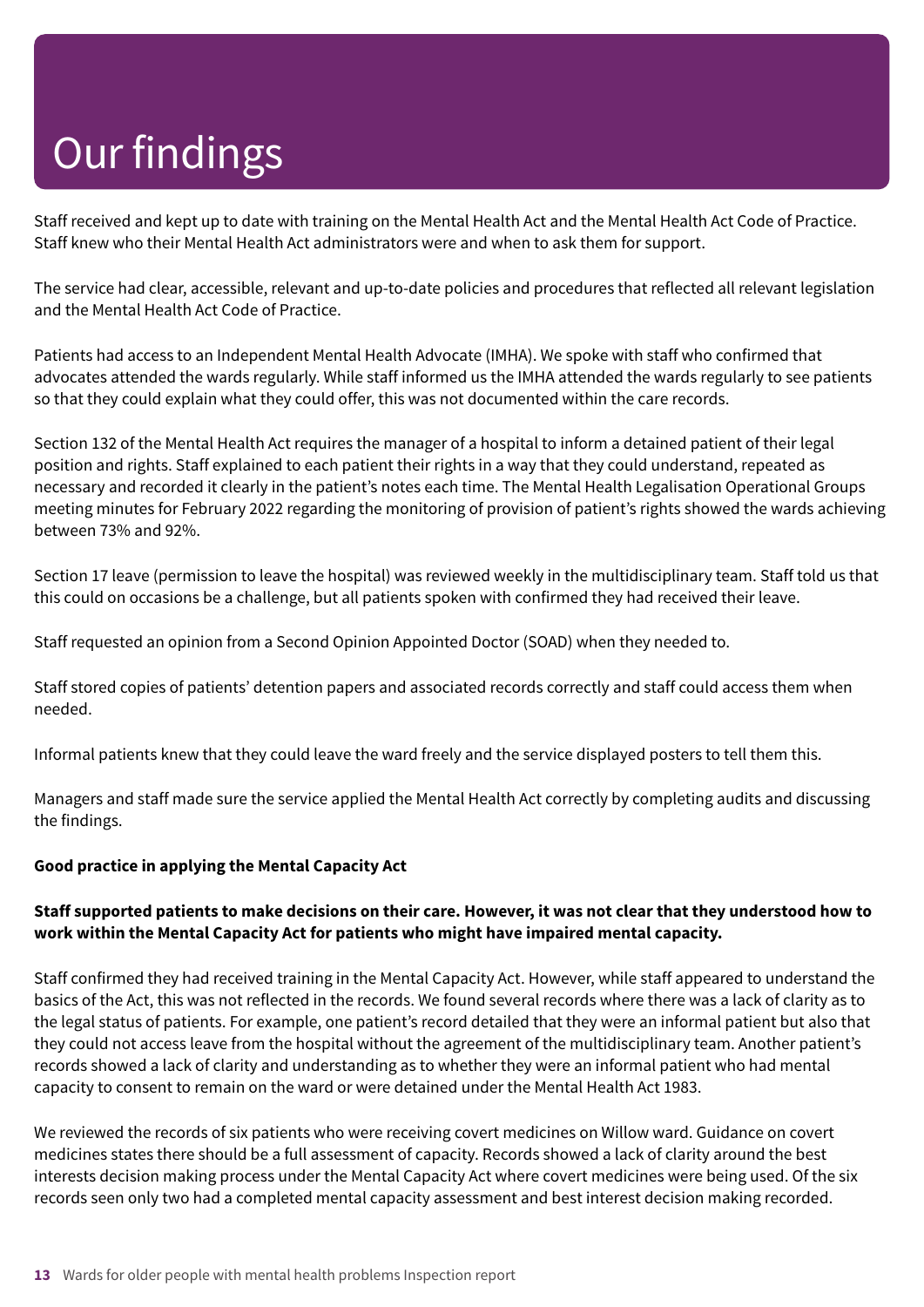Staff received and kept up to date with training on the Mental Health Act and the Mental Health Act Code of Practice. Staff knew who their Mental Health Act administrators were and when to ask them for support.

The service had clear, accessible, relevant and up-to-date policies and procedures that reflected all relevant legislation and the Mental Health Act Code of Practice.

Patients had access to an Independent Mental Health Advocate (IMHA). We spoke with staff who confirmed that advocates attended the wards regularly. While staff informed us the IMHA attended the wards regularly to see patients so that they could explain what they could offer, this was not documented within the care records.

Section 132 of the Mental Health Act requires the manager of a hospital to inform a detained patient of their legal position and rights. Staff explained to each patient their rights in a way that they could understand, repeated as necessary and recorded it clearly in the patient's notes each time. The Mental Health Legalisation Operational Groups meeting minutes for February 2022 regarding the monitoring of provision of patient's rights showed the wards achieving between 73% and 92%.

Section 17 leave (permission to leave the hospital) was reviewed weekly in the multidisciplinary team. Staff told us that this could on occasions be a challenge, but all patients spoken with confirmed they had received their leave.

Staff requested an opinion from a Second Opinion Appointed Doctor (SOAD) when they needed to.

Staff stored copies of patients' detention papers and associated records correctly and staff could access them when needed.

Informal patients knew that they could leave the ward freely and the service displayed posters to tell them this.

Managers and staff made sure the service applied the Mental Health Act correctly by completing audits and discussing the findings.

#### **Good practice in applying the Mental Capacity Act**

#### Staff supported patients to make decisions on their care. However, it was not clear that they understood how to **work within the Mental Capacity Act for patients who might have impaired mental capacity.**

Staff confirmed they had received training in the Mental Capacity Act. However, while staff appeared to understand the basics of the Act, this was not reflected in the records. We found several records where there was a lack of clarity as to the legal status of patients. For example, one patient's record detailed that they were an informal patient but also that they could not access leave from the hospital without the agreement of the multidisciplinary team. Another patient's records showed a lack of clarity and understanding as to whether they were an informal patient who had mental capacity to consent to remain on the ward or were detained under the Mental Health Act 1983.

We reviewed the records of six patients who were receiving covert medicines on Willow ward. Guidance on covert medicines states there should be a full assessment of capacity. Records showed a lack of clarity around the best interests decision making process under the Mental Capacity Act where covert medicines were being used. Of the six records seen only two had a completed mental capacity assessment and best interest decision making recorded.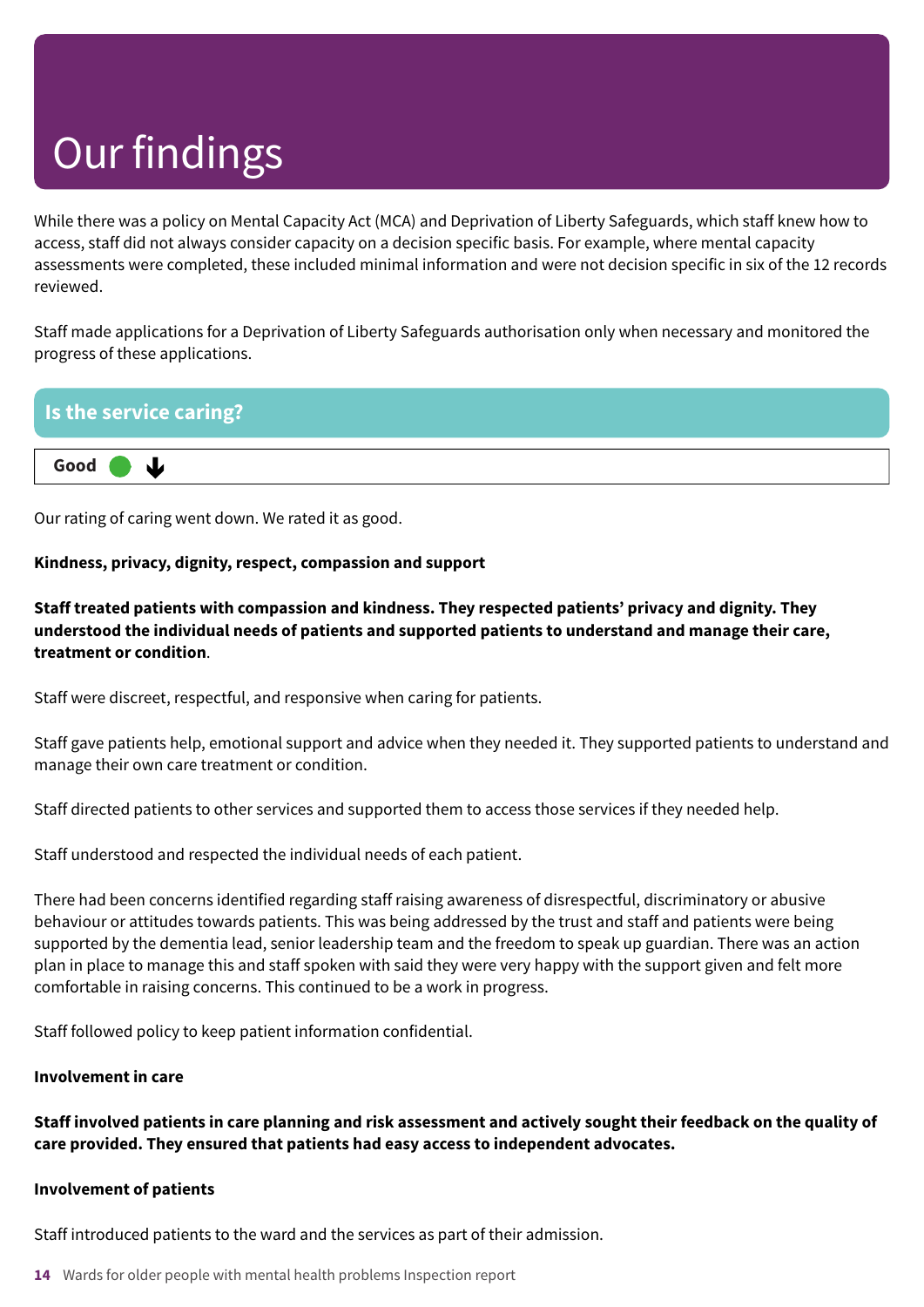While there was a policy on Mental Capacity Act (MCA) and Deprivation of Liberty Safeguards, which staff knew how to access, staff did not always consider capacity on a decision specific basis. For example, where mental capacity assessments were completed, these included minimal information and were not decision specific in six of the 12 records reviewed.

Staff made applications for a Deprivation of Liberty Safeguards authorisation only when necessary and monitored the progress of these applications.

### **Is the service caring? Good –––**  $\mathbf{J}$

Our rating of caring went down. We rated it as good.

#### **Kindness, privacy, dignity, respect, compassion and support**

**Staff treated patients with compassion and kindness. They respected patients' privacy and dignity. They understood the individual needs of patients and supported patients to understand and manage their care, treatment or condition**.

Staff were discreet, respectful, and responsive when caring for patients.

Staff gave patients help, emotional support and advice when they needed it. They supported patients to understand and manage their own care treatment or condition.

Staff directed patients to other services and supported them to access those services if they needed help.

Staff understood and respected the individual needs of each patient.

There had been concerns identified regarding staff raising awareness of disrespectful, discriminatory or abusive behaviour or attitudes towards patients. This was being addressed by the trust and staff and patients were being supported by the dementia lead, senior leadership team and the freedom to speak up guardian. There was an action plan in place to manage this and staff spoken with said they were very happy with the support given and felt more comfortable in raising concerns. This continued to be a work in progress.

Staff followed policy to keep patient information confidential.

#### **Involvement in care**

Staff involved patients in care planning and risk assessment and actively sought their feedback on the quality of **care provided. They ensured that patients had easy access to independent advocates.**

#### **Involvement of patients**

Staff introduced patients to the ward and the services as part of their admission.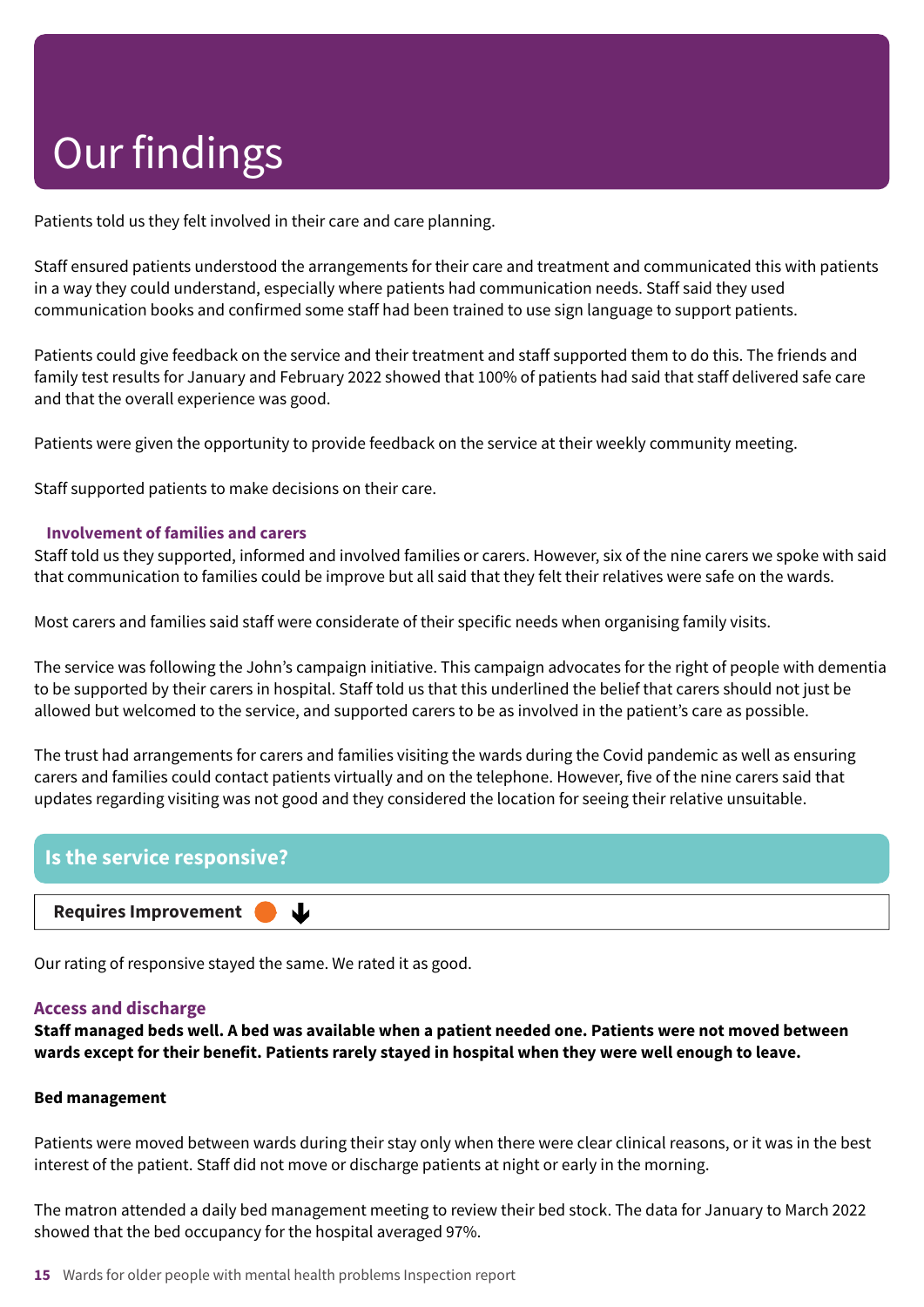Patients told us they felt involved in their care and care planning.

Staff ensured patients understood the arrangements for their care and treatment and communicated this with patients in a way they could understand, especially where patients had communication needs. Staff said they used communication books and confirmed some staff had been trained to use sign language to support patients.

Patients could give feedback on the service and their treatment and staff supported them to do this. The friends and family test results for January and February 2022 showed that 100% of patients had said that staff delivered safe care and that the overall experience was good.

Patients were given the opportunity to provide feedback on the service at their weekly community meeting.

Staff supported patients to make decisions on their care.

#### **Involvement of families and carers**

Staff told us they supported, informed and involved families or carers. However, six of the nine carers we spoke with said that communication to families could be improve but all said that they felt their relatives were safe on the wards.

Most carers and families said staff were considerate of their specific needs when organising family visits.

The service was following the John's campaign initiative. This campaign advocates for the right of people with dementia to be supported by their carers in hospital. Staff told us that this underlined the belief that carers should not just be allowed but welcomed to the service, and supported carers to be as involved in the patient's care as possible.

The trust had arrangements for carers and families visiting the wards during the Covid pandemic as well as ensuring carers and families could contact patients virtually and on the telephone. However, five of the nine carers said that updates regarding visiting was not good and they considered the location for seeing their relative unsuitable.



Our rating of responsive stayed the same. We rated it as good.

#### **Access and discharge**

Staff managed beds well. A bed was available when a patient needed one. Patients were not moved between **wards except for their benefit. Patients rarely stayed in hospital when they were well enough to leave.**

#### **Bed management**

Patients were moved between wards during their stay only when there were clear clinical reasons, or it was in the best interest of the patient. Staff did not move or discharge patients at night or early in the morning.

The matron attended a daily bed management meeting to review their bed stock. The data for January to March 2022 showed that the bed occupancy for the hospital averaged 97%.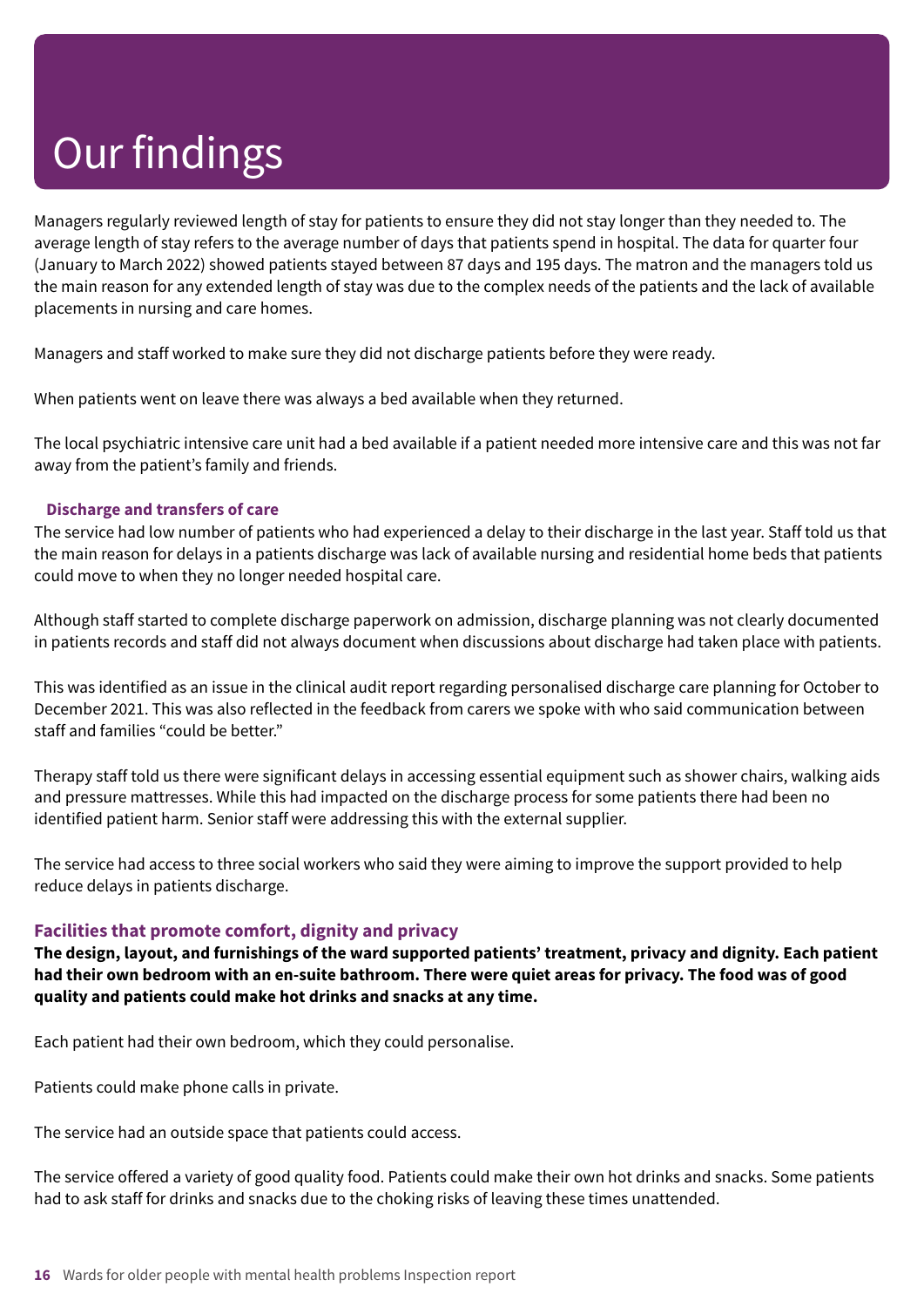Managers regularly reviewed length of stay for patients to ensure they did not stay longer than they needed to. The average length of stay refers to the average number of days that patients spend in hospital. The data for quarter four (January to March 2022) showed patients stayed between 87 days and 195 days. The matron and the managers told us the main reason for any extended length of stay was due to the complex needs of the patients and the lack of available placements in nursing and care homes.

Managers and staff worked to make sure they did not discharge patients before they were ready.

When patients went on leave there was always a bed available when they returned.

The local psychiatric intensive care unit had a bed available if a patient needed more intensive care and this was not far away from the patient's family and friends.

#### **Discharge and transfers of care**

The service had low number of patients who had experienced a delay to their discharge in the last year. Staff told us that the main reason for delays in a patients discharge was lack of available nursing and residential home beds that patients could move to when they no longer needed hospital care.

Although staff started to complete discharge paperwork on admission, discharge planning was not clearly documented in patients records and staff did not always document when discussions about discharge had taken place with patients.

This was identified as an issue in the clinical audit report regarding personalised discharge care planning for October to December 2021. This was also reflected in the feedback from carers we spoke with who said communication between staff and families "could be better."

Therapy staff told us there were significant delays in accessing essential equipment such as shower chairs, walking aids and pressure mattresses. While this had impacted on the discharge process for some patients there had been no identified patient harm. Senior staff were addressing this with the external supplier.

The service had access to three social workers who said they were aiming to improve the support provided to help reduce delays in patients discharge.

#### **Facilities that promote comfort, dignity and privacy**

**The design, layout, and furnishings of the ward supported patients' treatment, privacy and dignity. Each patient** had their own bedroom with an en-suite bathroom. There were quiet areas for privacy. The food was of good **quality and patients could make hot drinks and snacks at any time.**

Each patient had their own bedroom, which they could personalise.

Patients could make phone calls in private.

The service had an outside space that patients could access.

The service offered a variety of good quality food. Patients could make their own hot drinks and snacks. Some patients had to ask staff for drinks and snacks due to the choking risks of leaving these times unattended.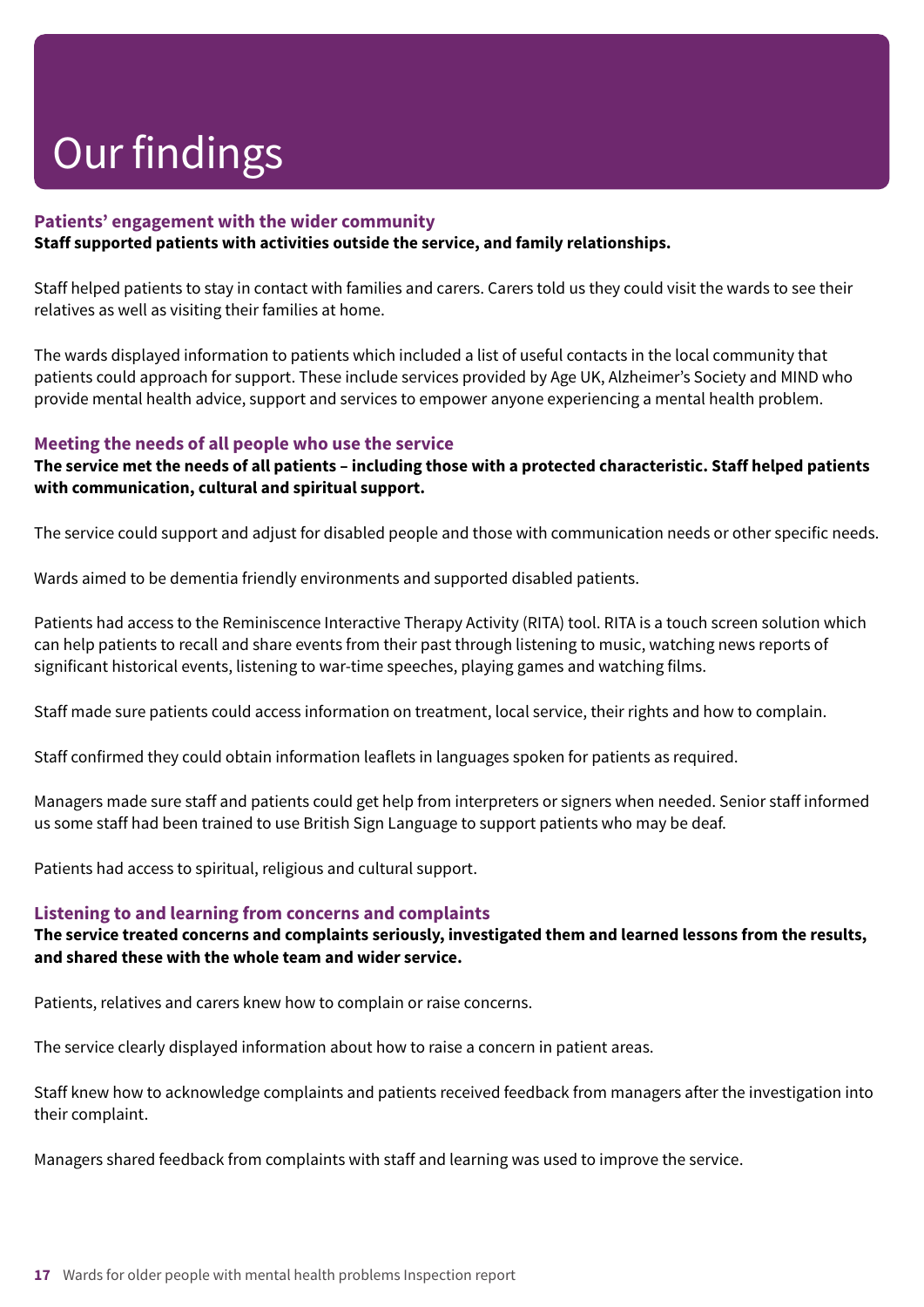#### **Patients' engagement with the wider community**

#### **Staff supported patients with activities outside the service, and family relationships.**

Staff helped patients to stay in contact with families and carers. Carers told us they could visit the wards to see their relatives as well as visiting their families at home.

The wards displayed information to patients which included a list of useful contacts in the local community that patients could approach for support. These include services provided by Age UK, Alzheimer's Society and MIND who provide mental health advice, support and services to empower anyone experiencing a mental health problem.

#### **Meeting the needs of all people who use the service**

#### The service met the needs of all patients - including those with a protected characteristic. Staff helped patients **with communication, cultural and spiritual support.**

The service could support and adjust for disabled people and those with communication needs or other specific needs.

Wards aimed to be dementia friendly environments and supported disabled patients.

Patients had access to the Reminiscence Interactive Therapy Activity (RITA) tool. RITA is a touch screen solution which can help patients to recall and share events from their past through listening to music, watching news reports of significant historical events, listening to war-time speeches, playing games and watching films.

Staff made sure patients could access information on treatment, local service, their rights and how to complain.

Staff confirmed they could obtain information leaflets in languages spoken for patients as required.

Managers made sure staff and patients could get help from interpreters or signers when needed. Senior staff informed us some staff had been trained to use British Sign Language to support patients who may be deaf.

Patients had access to spiritual, religious and cultural support.

#### **Listening to and learning from concerns and complaints**

#### **The service treated concerns and complaints seriously, investigated them and learned lessons from the results, and shared these with the whole team and wider service.**

Patients, relatives and carers knew how to complain or raise concerns.

The service clearly displayed information about how to raise a concern in patient areas.

Staff knew how to acknowledge complaints and patients received feedback from managers after the investigation into their complaint.

Managers shared feedback from complaints with staff and learning was used to improve the service.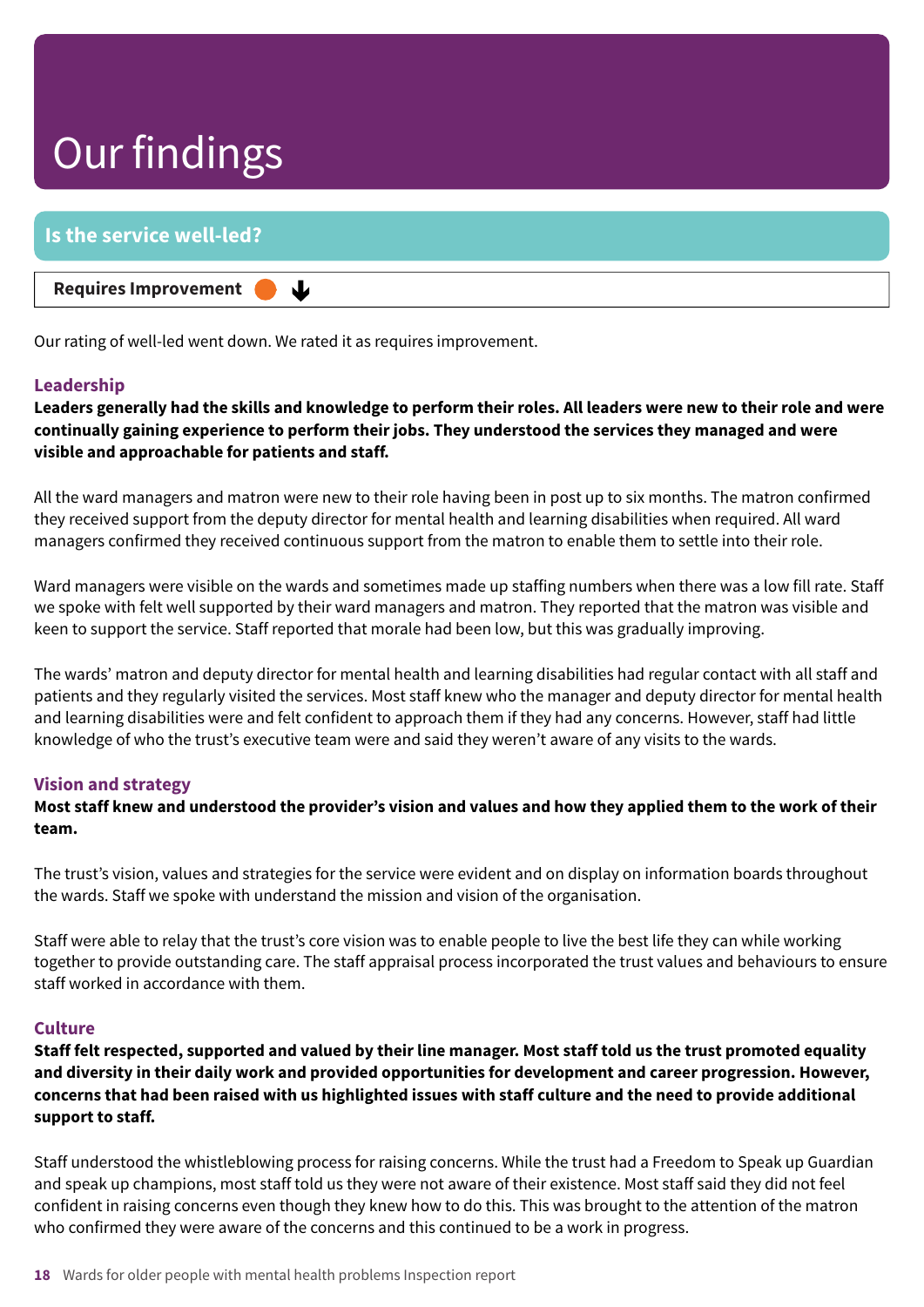### **Is the service well-led?**

**Requires Improvement –––**

Our rating of well-led went down. We rated it as requires improvement.

↓

#### **Leadership**

Leaders generally had the skills and knowledge to perform their roles. All leaders were new to their role and were **continually gaining experience to perform their jobs. They understood the services they managed and were visible and approachable for patients and staff.**

All the ward managers and matron were new to their role having been in post up to six months. The matron confirmed they received support from the deputy director for mental health and learning disabilities when required. All ward managers confirmed they received continuous support from the matron to enable them to settle into their role.

Ward managers were visible on the wards and sometimes made up staffing numbers when there was a low fill rate. Staff we spoke with felt well supported by their ward managers and matron. They reported that the matron was visible and keen to support the service. Staff reported that morale had been low, but this was gradually improving.

The wards' matron and deputy director for mental health and learning disabilities had regular contact with all staff and patients and they regularly visited the services. Most staff knew who the manager and deputy director for mental health and learning disabilities were and felt confident to approach them if they had any concerns. However, staff had little knowledge of who the trust's executive team were and said they weren't aware of any visits to the wards.

#### **Vision and strategy**

Most staff knew and understood the provider's vision and values and how they applied them to the work of their **team.**

The trust's vision, values and strategies for the service were evident and on display on information boards throughout the wards. Staff we spoke with understand the mission and vision of the organisation.

Staff were able to relay that the trust's core vision was to enable people to live the best life they can while working together to provide outstanding care. The staff appraisal process incorporated the trust values and behaviours to ensure staff worked in accordance with them.

#### **Culture**

Staff felt respected, supported and valued by their line manager. Most staff told us the trust promoted equality **and diversity in their daily work and provided opportunities for development and career progression. However,** concerns that had been raised with us highlighted issues with staff culture and the need to provide additional **support to staff.**

Staff understood the whistleblowing process for raising concerns. While the trust had a Freedom to Speak up Guardian and speak up champions, most staff told us they were not aware of their existence. Most staff said they did not feel confident in raising concerns even though they knew how to do this. This was brought to the attention of the matron who confirmed they were aware of the concerns and this continued to be a work in progress.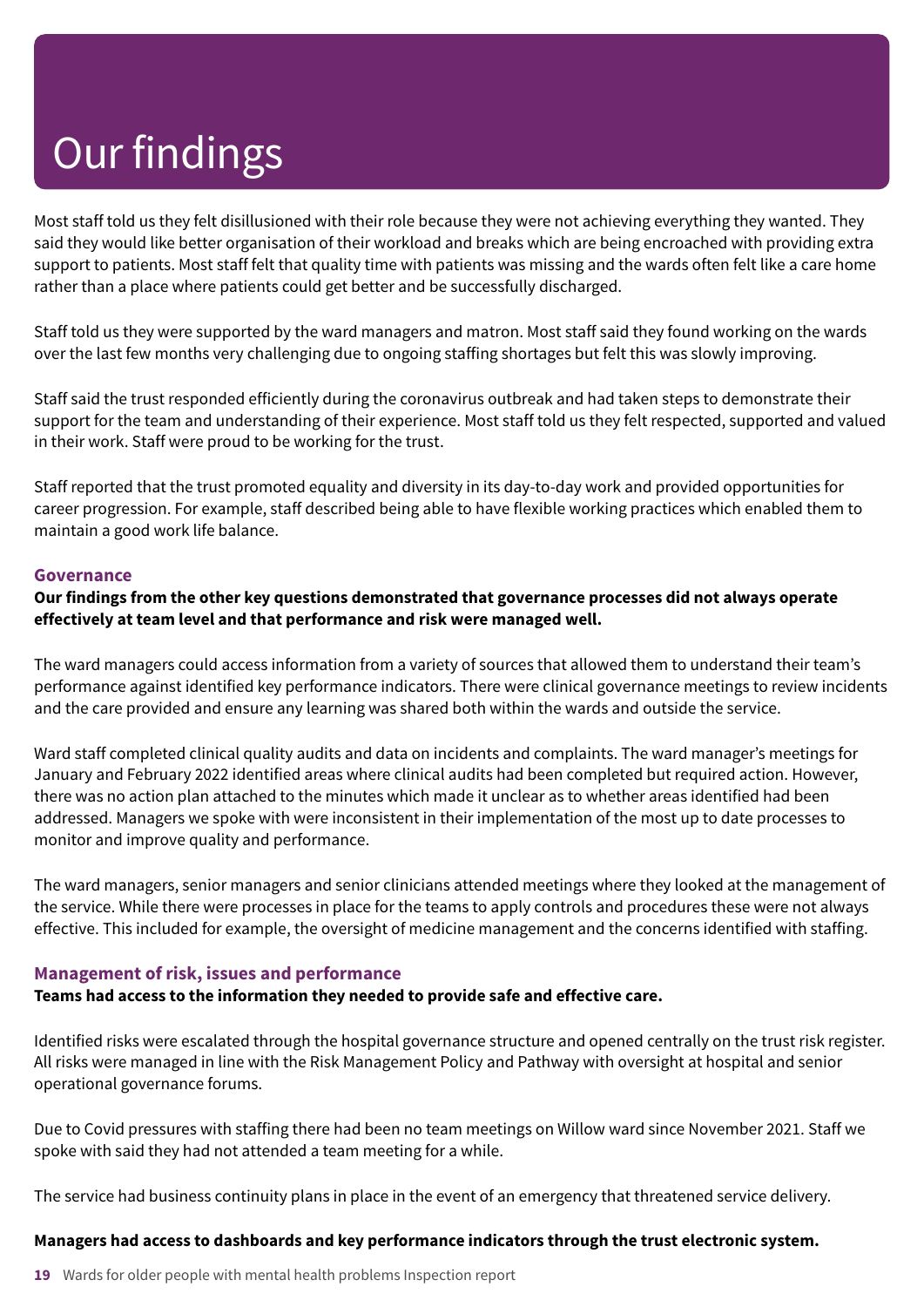Most staff told us they felt disillusioned with their role because they were not achieving everything they wanted. They said they would like better organisation of their workload and breaks which are being encroached with providing extra support to patients. Most staff felt that quality time with patients was missing and the wards often felt like a care home rather than a place where patients could get better and be successfully discharged.

Staff told us they were supported by the ward managers and matron. Most staff said they found working on the wards over the last few months very challenging due to ongoing staffing shortages but felt this was slowly improving.

Staff said the trust responded efficiently during the coronavirus outbreak and had taken steps to demonstrate their support for the team and understanding of their experience. Most staff told us they felt respected, supported and valued in their work. Staff were proud to be working for the trust.

Staff reported that the trust promoted equality and diversity in its day-to-day work and provided opportunities for career progression. For example, staff described being able to have flexible working practices which enabled them to maintain a good work life balance.

#### **Governance**

#### **Our findings from the other key questions demonstrated that governance processes did not always operate effectively at team level and that performance and risk were managed well.**

The ward managers could access information from a variety of sources that allowed them to understand their team's performance against identified key performance indicators. There were clinical governance meetings to review incidents and the care provided and ensure any learning was shared both within the wards and outside the service.

Ward staff completed clinical quality audits and data on incidents and complaints. The ward manager's meetings for January and February 2022 identified areas where clinical audits had been completed but required action. However, there was no action plan attached to the minutes which made it unclear as to whether areas identified had been addressed. Managers we spoke with were inconsistent in their implementation of the most up to date processes to monitor and improve quality and performance.

The ward managers, senior managers and senior clinicians attended meetings where they looked at the management of the service. While there were processes in place for the teams to apply controls and procedures these were not always effective. This included for example, the oversight of medicine management and the concerns identified with staffing.

#### **Management of risk, issues and performance**

**Teams had access to the information they needed to provide safe and effective care.**

Identified risks were escalated through the hospital governance structure and opened centrally on the trust risk register. All risks were managed in line with the Risk Management Policy and Pathway with oversight at hospital and senior operational governance forums.

Due to Covid pressures with staffing there had been no team meetings on Willow ward since November 2021. Staff we spoke with said they had not attended a team meeting for a while.

The service had business continuity plans in place in the event of an emergency that threatened service delivery.

#### **Managers had access to dashboards and key performance indicators through the trust electronic system.**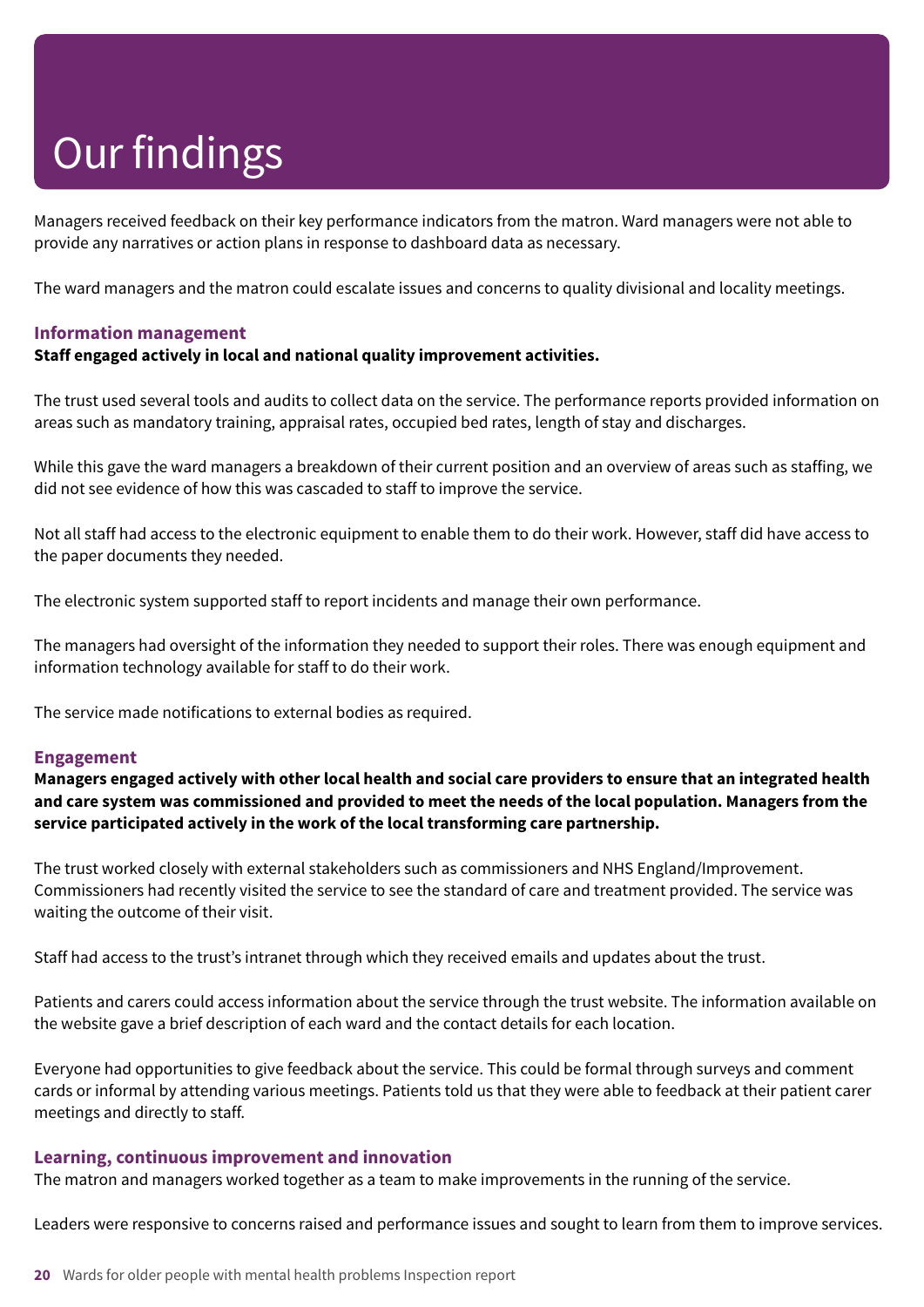Managers received feedback on their key performance indicators from the matron. Ward managers were not able to provide any narratives or action plans in response to dashboard data as necessary.

The ward managers and the matron could escalate issues and concerns to quality divisional and locality meetings.

#### **Information management**

#### **Staff engaged actively in local and national quality improvement activities.**

The trust used several tools and audits to collect data on the service. The performance reports provided information on areas such as mandatory training, appraisal rates, occupied bed rates, length of stay and discharges.

While this gave the ward managers a breakdown of their current position and an overview of areas such as staffing, we did not see evidence of how this was cascaded to staff to improve the service.

Not all staff had access to the electronic equipment to enable them to do their work. However, staff did have access to the paper documents they needed.

The electronic system supported staff to report incidents and manage their own performance.

The managers had oversight of the information they needed to support their roles. There was enough equipment and information technology available for staff to do their work.

The service made notifications to external bodies as required.

#### **Engagement**

Managers engaged actively with other local health and social care providers to ensure that an integrated health and care system was commissioned and provided to meet the needs of the local population. Managers from the **service participated actively in the work of the local transforming care partnership.**

The trust worked closely with external stakeholders such as commissioners and NHS England/Improvement. Commissioners had recently visited the service to see the standard of care and treatment provided. The service was waiting the outcome of their visit.

Staff had access to the trust's intranet through which they received emails and updates about the trust.

Patients and carers could access information about the service through the trust website. The information available on the website gave a brief description of each ward and the contact details for each location.

Everyone had opportunities to give feedback about the service. This could be formal through surveys and comment cards or informal by attending various meetings. Patients told us that they were able to feedback at their patient carer meetings and directly to staff.

#### **Learning, continuous improvement and innovation**

The matron and managers worked together as a team to make improvements in the running of the service.

Leaders were responsive to concerns raised and performance issues and sought to learn from them to improve services.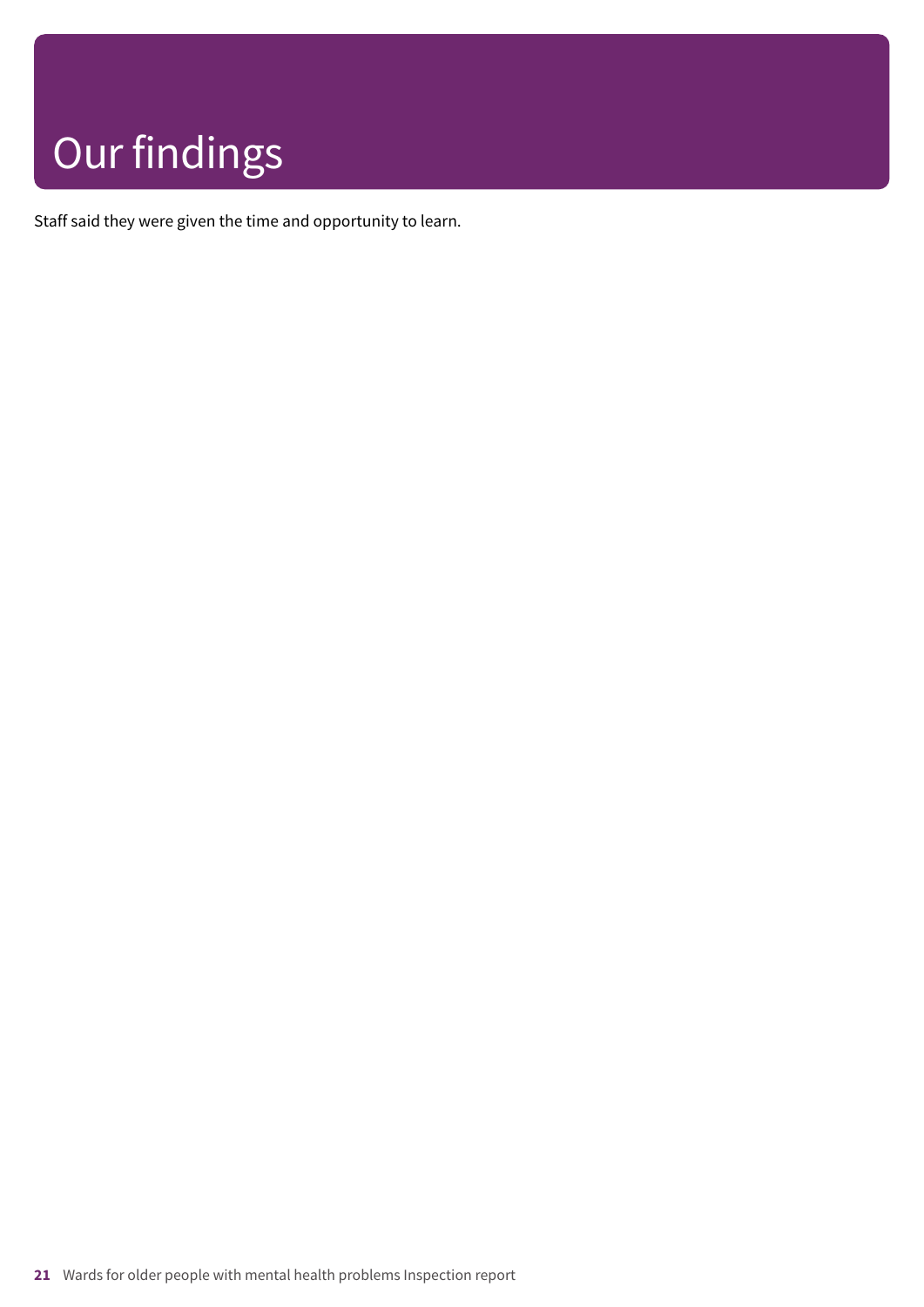Staff said they were given the time and opportunity to learn.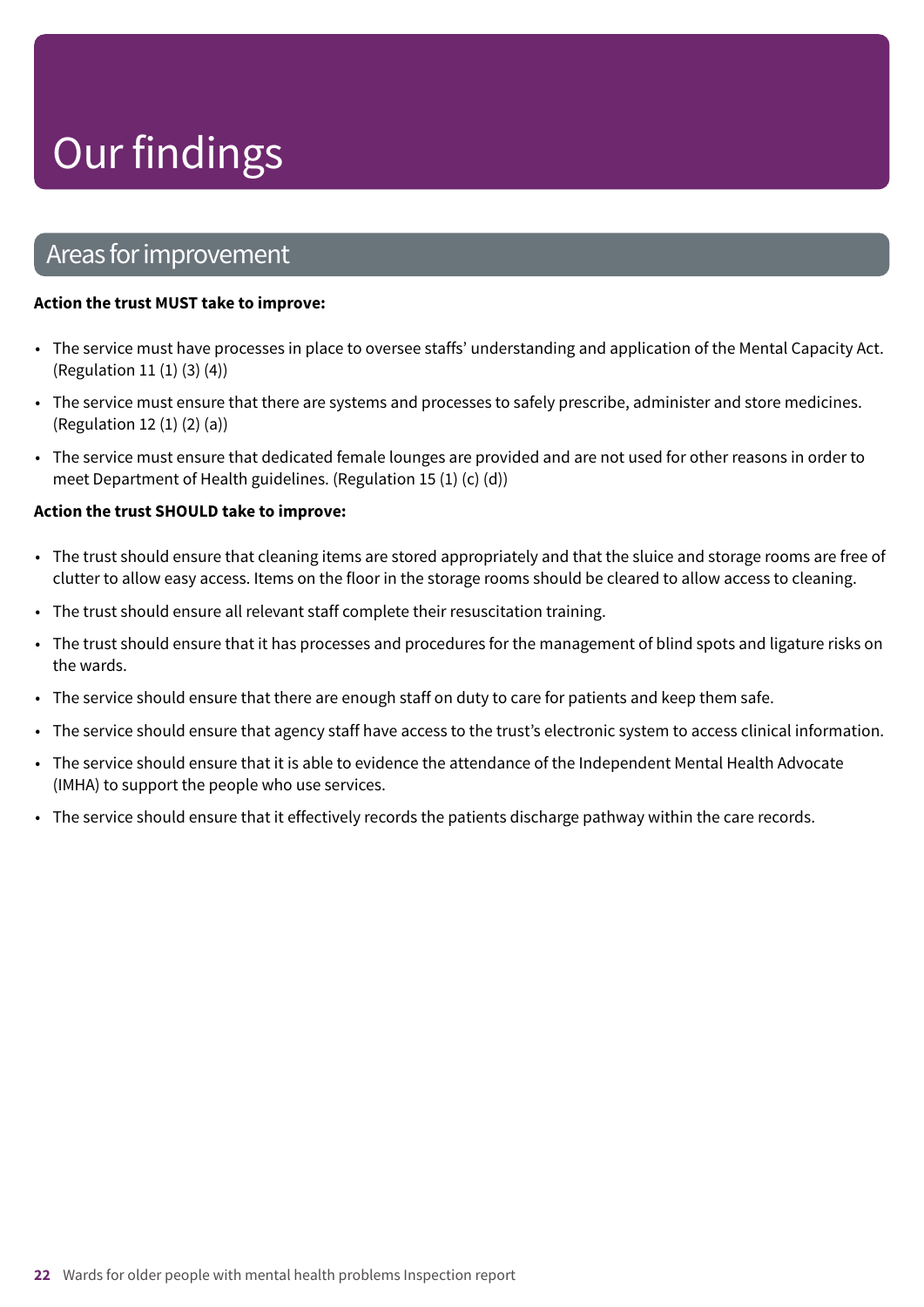### Areas forimprovement

#### **Action the trust MUST take to improve:**

- The service must have processes in place to oversee staffs' understanding and application of the Mental Capacity Act. (Regulation 11 (1) (3) (4))
- The service must ensure that there are systems and processes to safely prescribe, administer and store medicines. (Regulation 12 (1) (2) (a))
- The service must ensure that dedicated female lounges are provided and are not used for other reasons in order to meet Department of Health guidelines. (Regulation 15 (1) (c) (d))

#### **Action the trust SHOULD take to improve:**

- The trust should ensure that cleaning items are stored appropriately and that the sluice and storage rooms are free of clutter to allow easy access. Items on the floor in the storage rooms should be cleared to allow access to cleaning.
- The trust should ensure all relevant staff complete their resuscitation training.
- The trust should ensure that it has processes and procedures for the management of blind spots and ligature risks on the wards.
- The service should ensure that there are enough staff on duty to care for patients and keep them safe.
- The service should ensure that agency staff have access to the trust's electronic system to access clinical information.
- The service should ensure that it is able to evidence the attendance of the Independent Mental Health Advocate (IMHA) to support the people who use services.
- The service should ensure that it effectively records the patients discharge pathway within the care records.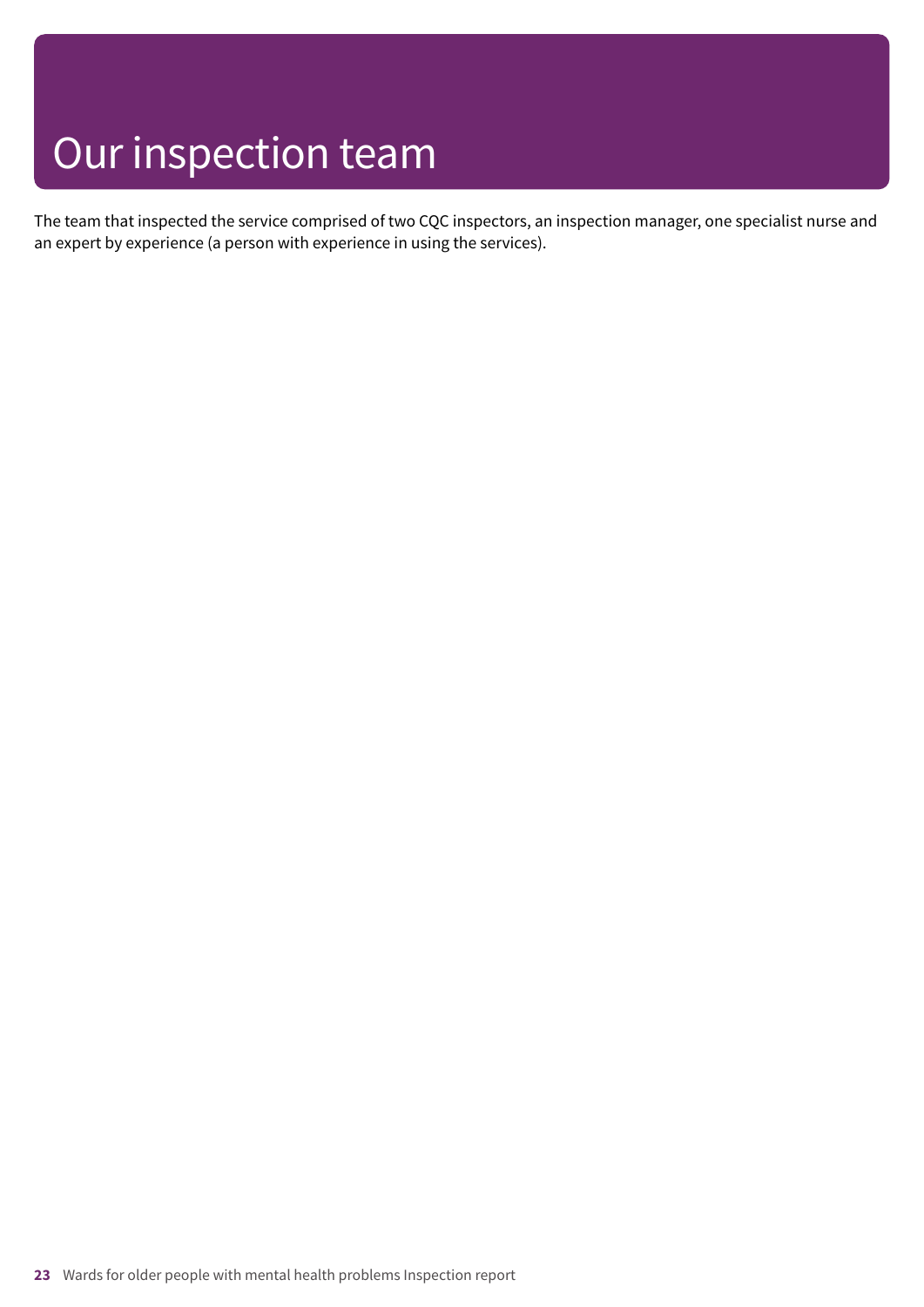### Our inspection team

The team that inspected the service comprised of two CQC inspectors, an inspection manager, one specialist nurse and an expert by experience (a person with experience in using the services).